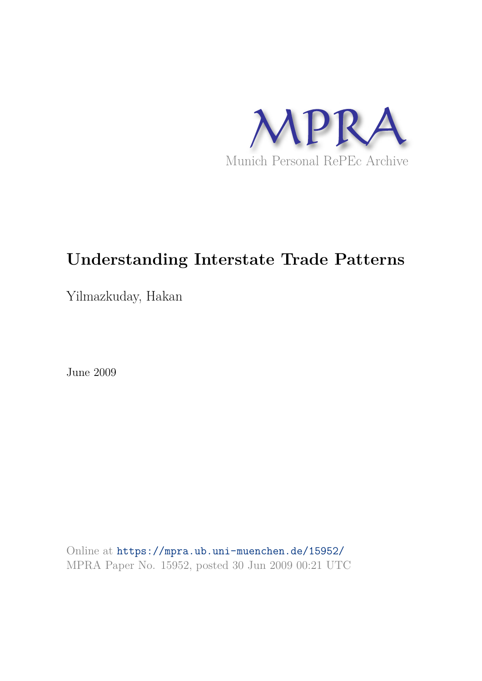

# **Understanding Interstate Trade Patterns**

Yilmazkuday, Hakan

June 2009

Online at https://mpra.ub.uni-muenchen.de/15952/ MPRA Paper No. 15952, posted 30 Jun 2009 00:21 UTC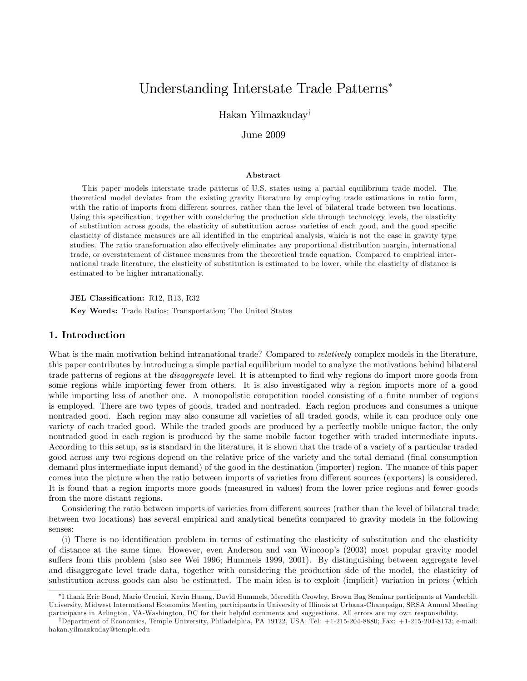# Understanding Interstate Trade Patterns

Hakan Yilmazkuday<sup>†</sup>

# June 2009

#### Abstract

This paper models interstate trade patterns of U.S. states using a partial equilibrium trade model. The theoretical model deviates from the existing gravity literature by employing trade estimations in ratio form, with the ratio of imports from different sources, rather than the level of bilateral trade between two locations. Using this specification, together with considering the production side through technology levels, the elasticity of substitution across goods, the elasticity of substitution across varieties of each good, and the good specific elasticity of distance measures are all identified in the empirical analysis, which is not the case in gravity type studies. The ratio transformation also effectively eliminates any proportional distribution margin, international trade, or overstatement of distance measures from the theoretical trade equation. Compared to empirical international trade literature, the elasticity of substitution is estimated to be lower, while the elasticity of distance is estimated to be higher intranationally.

#### JEL Classification: R12, R13, R32

Key Words: Trade Ratios; Transportation; The United States

# 1. Introduction

What is the main motivation behind intranational trade? Compared to *relatively* complex models in the literature, this paper contributes by introducing a simple partial equilibrium model to analyze the motivations behind bilateral trade patterns of regions at the *disaggregate* level. It is attempted to find why regions do import more goods from some regions while importing fewer from others. It is also investigated why a region imports more of a good while importing less of another one. A monopolistic competition model consisting of a finite number of regions is employed. There are two types of goods, traded and nontraded. Each region produces and consumes a unique nontraded good. Each region may also consume all varieties of all traded goods, while it can produce only one variety of each traded good. While the traded goods are produced by a perfectly mobile unique factor, the only nontraded good in each region is produced by the same mobile factor together with traded intermediate inputs. According to this setup, as is standard in the literature, it is shown that the trade of a variety of a particular traded good across any two regions depend on the relative price of the variety and the total demand (Önal consumption demand plus intermediate input demand) of the good in the destination (importer) region. The nuance of this paper comes into the picture when the ratio between imports of varieties from different sources (exporters) is considered. It is found that a region imports more goods (measured in values) from the lower price regions and fewer goods from the more distant regions.

Considering the ratio between imports of varieties from different sources (rather than the level of bilateral trade between two locations) has several empirical and analytical benefits compared to gravity models in the following senses:

(i) There is no identification problem in terms of estimating the elasticity of substitution and the elasticity of distance at the same time. However, even Anderson and van Wincoopís (2003) most popular gravity model suffers from this problem (also see Wei 1996; Hummels 1999, 2001). By distinguishing between aggregate level and disaggregate level trade data, together with considering the production side of the model, the elasticity of substitution across goods can also be estimated. The main idea is to exploit (implicit) variation in prices (which

I thank Eric Bond, Mario Crucini, Kevin Huang, David Hummels, Meredith Crowley, Brown Bag Seminar participants at Vanderbilt University, Midwest International Economics Meeting participants in University of Illinois at Urbana-Champaign, SRSA Annual Meeting participants in Arlington, VA-Washington, DC for their helpful comments and suggestions. All errors are my own responsibility.

<sup>&</sup>lt;sup>†</sup>Department of Economics, Temple University, Philadelphia, PA 19122, USA; Tel: +1-215-204-8880; Fax: +1-215-204-8173; e-mail: hakan.yilmazkuday@temple.edu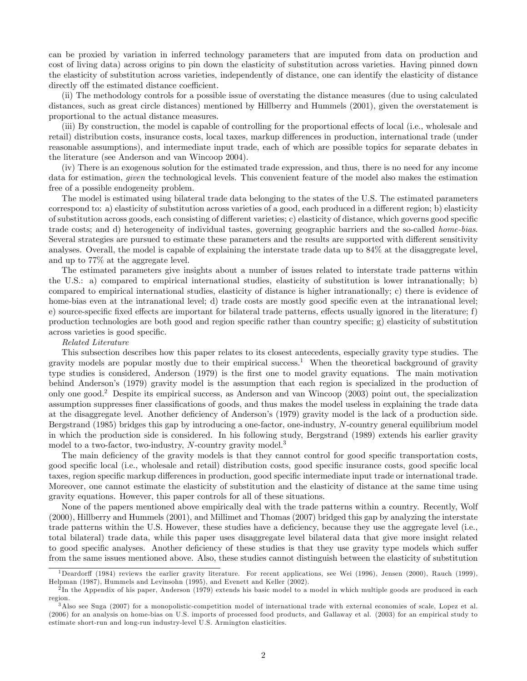can be proxied by variation in inferred technology parameters that are imputed from data on production and cost of living data) across origins to pin down the elasticity of substitution across varieties. Having pinned down the elasticity of substitution across varieties, independently of distance, one can identify the elasticity of distance directly off the estimated distance coefficient.

(ii) The methodology controls for a possible issue of overstating the distance measures (due to using calculated distances, such as great circle distances) mentioned by Hillberry and Hummels (2001), given the overstatement is proportional to the actual distance measures.

(iii) By construction, the model is capable of controlling for the proportional effects of local (i.e., wholesale and retail) distribution costs, insurance costs, local taxes, markup differences in production, international trade (under reasonable assumptions), and intermediate input trade, each of which are possible topics for separate debates in the literature (see Anderson and van Wincoop 2004).

(iv) There is an exogenous solution for the estimated trade expression, and thus, there is no need for any income data for estimation, *given* the technological levels. This convenient feature of the model also makes the estimation free of a possible endogeneity problem.

The model is estimated using bilateral trade data belonging to the states of the U.S. The estimated parameters correspond to: a) elasticity of substitution across varieties of a good, each produced in a different region; b) elasticity of substitution across goods, each consisting of different varieties; c) elasticity of distance, which governs good specific trade costs; and d) heterogeneity of individual tastes, governing geographic barriers and the so-called home-bias. Several strategies are pursued to estimate these parameters and the results are supported with different sensitivity analyses. Overall, the model is capable of explaining the interstate trade data up to 84% at the disaggregate level, and up to 77% at the aggregate level.

The estimated parameters give insights about a number of issues related to interstate trade patterns within the U.S.: a) compared to empirical international studies, elasticity of substitution is lower intranationally; b) compared to empirical international studies, elasticity of distance is higher intranationally; c) there is evidence of home-bias even at the intranational level; d) trade costs are mostly good specific even at the intranational level; e) source-specific fixed effects are important for bilateral trade patterns, effects usually ignored in the literature; f) production technologies are both good and region specific rather than country specific; g) elasticity of substitution across varieties is good specific.

#### Related Literature

This subsection describes how this paper relates to its closest antecedents, especially gravity type studies. The gravity models are popular mostly due to their empirical success.<sup>1</sup> When the theoretical background of gravity type studies is considered, Anderson (1979) is the first one to model gravity equations. The main motivation behind Anderson's (1979) gravity model is the assumption that each region is specialized in the production of only one good.<sup>2</sup> Despite its empirical success, as Anderson and van Wincoop (2003) point out, the specialization assumption suppresses finer classifications of goods, and thus makes the model useless in explaining the trade data at the disaggregate level. Another deficiency of Anderson's (1979) gravity model is the lack of a production side. Bergstrand (1985) bridges this gap by introducing a one-factor, one-industry, N-country general equilibrium model in which the production side is considered. In his following study, Bergstrand (1989) extends his earlier gravity model to a two-factor, two-industry, N-country gravity model.<sup>3</sup>

The main deficiency of the gravity models is that they cannot control for good specific transportation costs, good specific local (i.e., wholesale and retail) distribution costs, good specific insurance costs, good specific local taxes, region specific markup differences in production, good specific intermediate input trade or international trade. Moreover, one cannot estimate the elasticity of substitution and the elasticity of distance at the same time using gravity equations. However, this paper controls for all of these situations.

None of the papers mentioned above empirically deal with the trade patterns within a country. Recently, Wolf (2000), Hillberry and Hummels (2001), and Millimet and Thomas (2007) bridged this gap by analyzing the interstate trade patterns within the U.S. However, these studies have a deficiency, because they use the aggregate level (i.e., total bilateral) trade data, while this paper uses disaggregate level bilateral data that give more insight related to good specific analyses. Another deficiency of these studies is that they use gravity type models which suffer from the same issues mentioned above. Also, these studies cannot distinguish between the elasticity of substitution

 $1$ Deardorff (1984) reviews the earlier gravity literature. For recent applications, see Wei (1996), Jensen (2000), Rauch (1999). Helpman (1987), Hummels and Levinsohn (1995), and Evenett and Keller (2002).

<sup>&</sup>lt;sup>2</sup>In the Appendix of his paper, Anderson (1979) extends his basic model to a model in which multiple goods are produced in each region.

<sup>3</sup>Also see Suga (2007) for a monopolistic-competition model of international trade with external economies of scale, Lopez et al. (2006) for an analysis on home-bias on U.S. imports of processed food products, and Gallaway et al. (2003) for an empirical study to estimate short-run and long-run industry-level U.S. Armington elasticities.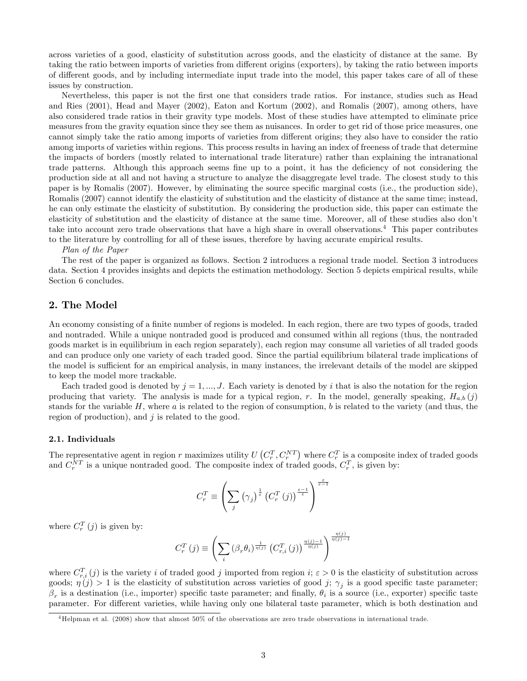across varieties of a good, elasticity of substitution across goods, and the elasticity of distance at the same. By taking the ratio between imports of varieties from different origins (exporters), by taking the ratio between imports of different goods, and by including intermediate input trade into the model, this paper takes care of all of these issues by construction.

Nevertheless, this paper is not the Örst one that considers trade ratios. For instance, studies such as Head and Ries (2001), Head and Mayer (2002), Eaton and Kortum (2002), and Romalis (2007), among others, have also considered trade ratios in their gravity type models. Most of these studies have attempted to eliminate price measures from the gravity equation since they see them as nuisances. In order to get rid of those price measures, one cannot simply take the ratio among imports of varieties from different origins; they also have to consider the ratio among imports of varieties within regions. This process results in having an index of freeness of trade that determine the impacts of borders (mostly related to international trade literature) rather than explaining the intranational trade patterns. Although this approach seems fine up to a point, it has the deficiency of not considering the production side at all and not having a structure to analyze the disaggregate level trade. The closest study to this paper is by Romalis (2007). However, by eliminating the source specific marginal costs (i.e., the production side), Romalis (2007) cannot identify the elasticity of substitution and the elasticity of distance at the same time; instead, he can only estimate the elasticity of substitution. By considering the production side, this paper can estimate the elasticity of substitution and the elasticity of distance at the same time. Moreover, all of these studies also don't take into account zero trade observations that have a high share in overall observations.<sup>4</sup> This paper contributes to the literature by controlling for all of these issues, therefore by having accurate empirical results.

#### Plan of the Paper

The rest of the paper is organized as follows. Section 2 introduces a regional trade model. Section 3 introduces data. Section 4 provides insights and depicts the estimation methodology. Section 5 depicts empirical results, while Section 6 concludes.

# 2. The Model

An economy consisting of a finite number of regions is modeled. In each region, there are two types of goods, traded and nontraded. While a unique nontraded good is produced and consumed within all regions (thus, the nontraded goods market is in equilibrium in each region separately), each region may consume all varieties of all traded goods and can produce only one variety of each traded good. Since the partial equilibrium bilateral trade implications of the model is sufficient for an empirical analysis, in many instances, the irrelevant details of the model are skipped to keep the model more trackable.

Each traded good is denoted by  $j = 1, ..., J$ . Each variety is denoted by i that is also the notation for the region producing that variety. The analysis is made for a typical region, r. In the model, generally speaking,  $H_{a,b}(j)$ stands for the variable  $H$ , where  $a$  is related to the region of consumption,  $b$  is related to the variety (and thus, the region of production), and  $j$  is related to the good.

#### 2.1. Individuals

The representative agent in region r maximizes utility  $U(C_r^T, C_r^{NT})$  where  $C_r^T$  is a composite index of traded goods and  $C_r^{NT}$  is a unique nontraded good. The composite index of traded goods,  $C_r^T$ , is given by:

$$
C_r^T \equiv \left(\sum_j \left(\gamma_j\right)^{\frac{1}{\varepsilon}} \left(C_r^T\left(j\right)\right)^{\frac{\varepsilon-1}{\varepsilon}}\right)^{\frac{\varepsilon}{\varepsilon-1}}
$$

where  $C_r^T(j)$  is given by:

$$
C_r^T(j) \equiv \left(\sum_i (\beta_r \theta_i)^{\frac{1}{\eta(j)}} \left(C_{r,i}^T(j)\right)^{\frac{\eta(j)-1}{\eta(j)-1}}\right)^{\frac{\eta(j)}{\eta(j)-1}}
$$

where  $C_{r,i}^T(j)$  is the variety i of traded good j imported from region  $i; \varepsilon > 0$  is the elasticity of substitution across goods;  $\eta(j) > 1$  is the elasticity of substitution across varieties of good j;  $\gamma_j$  is a good specific taste parameter;  $\beta_r$  is a destination (i.e., importer) specific taste parameter; and finally,  $\theta_i$  is a source (i.e., exporter) specific taste parameter. For different varieties, while having only one bilateral taste parameter, which is both destination and

 $^{4}$ Helpman et al. (2008) show that almost 50% of the observations are zero trade observations in international trade.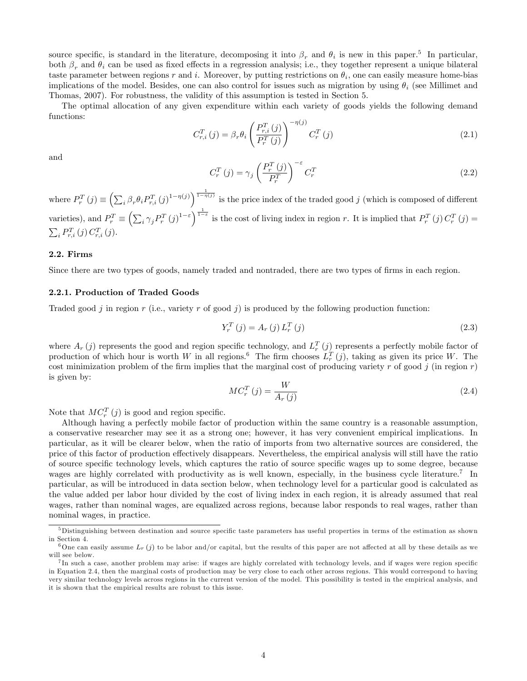source specific, is standard in the literature, decomposing it into  $\beta_r$  and  $\theta_i$  is new in this paper.<sup>5</sup> In particular, both  $\beta_r$  and  $\theta_i$  can be used as fixed effects in a regression analysis; i.e., they together represent a unique bilateral taste parameter between regions r and i. Moreover, by putting restrictions on  $\theta_i$ , one can easily measure home-bias implications of the model. Besides, one can also control for issues such as migration by using  $\theta_i$  (see Millimet and Thomas, 2007). For robustness, the validity of this assumption is tested in Section 5.

The optimal allocation of any given expenditure within each variety of goods yields the following demand functions:

$$
C_{r,i}^{T}(j) = \beta_r \theta_i \left( \frac{P_{r,i}^{T}(j)}{P_r^{T}(j)} \right)^{-\eta(j)} C_r^{T}(j)
$$
\n(2.1)

and

$$
C_r^T(j) = \gamma_j \left(\frac{P_r^T(j)}{P_r^T}\right)^{-\varepsilon} C_r^T
$$
\n(2.2)

where  $P_r^T(j) \equiv \left(\sum_i \beta_r \theta_i P_{r,i}^T(j)^{1-\eta(j)}\right)^{\frac{1}{1-\eta(j)}}$  is the price index of the traded good j (which is composed of different varieties), and  $P_r^T \equiv \left(\sum_i \gamma_j P_r^T(j)^{1-\varepsilon}\right)^{\frac{1}{1-\varepsilon}}$  is the cost of living index in region r. It is implied that  $P_r^T(j) C_r^T(j)$  $\sum_{i} P_{r,i}^{T}(j) C_{r,i}^{T}(j).$ 

# 2.2. Firms

Since there are two types of goods, namely traded and nontraded, there are two types of firms in each region.

#### 2.2.1. Production of Traded Goods

Traded good j in region r (i.e., variety r of good j) is produced by the following production function:

$$
Y_{r}^{T}(j) = A_{r}(j) L_{r}^{T}(j)
$$
\n(2.3)

where  $A_r(j)$  represents the good and region specific technology, and  $L_r^T(j)$  represents a perfectly mobile factor of production of which hour is worth W in all regions.<sup>6</sup> The firm chooses  $L_r^T(j)$ , taking as given its price W. The cost minimization problem of the firm implies that the marginal cost of producing variety r of good j (in region r) is given by:

$$
MC_r^T(j) = \frac{W}{A_r(j)}\tag{2.4}
$$

Note that  $MC_r^T(j)$  is good and region specific.

Although having a perfectly mobile factor of production within the same country is a reasonable assumption, a conservative researcher may see it as a strong one; however, it has very convenient empirical implications. In particular, as it will be clearer below, when the ratio of imports from two alternative sources are considered, the price of this factor of production effectively disappears. Nevertheless, the empirical analysis will still have the ratio of source specific technology levels, which captures the ratio of source specific wages up to some degree, because wages are highly correlated with productivity as is well known, especially, in the business cycle literature.<sup>7</sup> In particular, as will be introduced in data section below, when technology level for a particular good is calculated as the value added per labor hour divided by the cost of living index in each region, it is already assumed that real wages, rather than nominal wages, are equalized across regions, because labor responds to real wages, rather than nominal wages, in practice.

 $5$ Distinguishing between destination and source specific taste parameters has useful properties in terms of the estimation as shown in Section 4.

<sup>&</sup>lt;sup>6</sup>One can easily assume  $L_r(j)$  to be labor and/or capital, but the results of this paper are not affected at all by these details as we will see below.

<sup>&</sup>lt;sup>7</sup>In such a case, another problem may arise: if wages are highly correlated with technology levels, and if wages were region specific in Equation 2.4, then the marginal costs of production may be very close to each other across regions. This would correspond to having very similar technology levels across regions in the current version of the model. This possibility is tested in the empirical analysis, and it is shown that the empirical results are robust to this issue.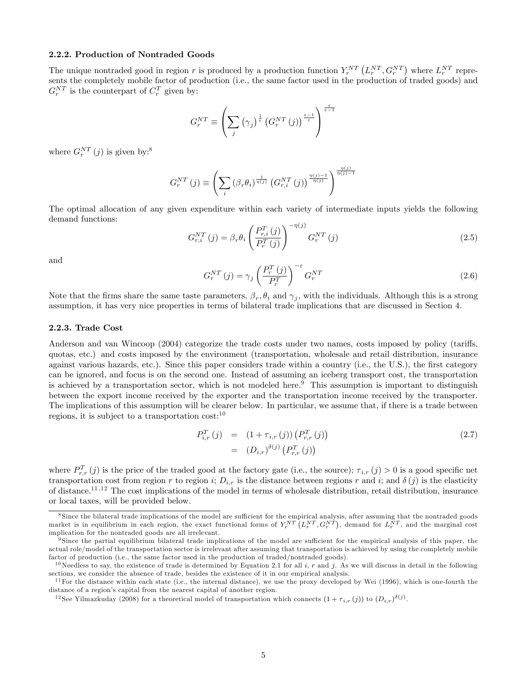#### 2.2.2. Production of Nontraded Goods

The unique nontraded good in region r is produced by a production function  $Y_r^{NT}(L_r^{NT}, G_r^{NT})$  where  $L_r^{NT}$  represents the completely mobile factor of production (i.e., the same factor used in the production of traded goods) and  $G_r^{NT}$  is the counterpart of  $C_r^T$  given by:

$$
G_r^{NT} \equiv \left(\sum_j \left(\gamma_j\right)^{\frac{1}{\varepsilon}} \left(G_r^{NT}\left(j\right)\right)^{\frac{\varepsilon-1}{\varepsilon}}\right)^{\frac{\varepsilon}{\varepsilon-1}}
$$

where  $G_r^{NT}(j)$  is given by:<sup>8</sup>

$$
G_r^{NT}(j) \equiv \left(\sum_i \left(\beta_r \theta_i\right)^{\frac{1}{\eta(j)}} \left(G_{r,i}^{NT}(j)\right)^{\frac{\eta(j)-1}{\eta(j)-1}}\right)^{\frac{\eta(j)}{\eta(j)-1}}
$$

The optimal allocation of any given expenditure within each variety of intermediate inputs yields the following demand functions:

$$
G_{r,i}^{NT}(j) = \beta_r \theta_i \left(\frac{P_{r,i}^T(j)}{P_r^T(j)}\right)^{-\eta(j)} G_r^{NT}(j)
$$
\n(2.5)

and

$$
G_r^{NT}\left(j\right) = \gamma_j \left(\frac{P_r^T\left(j\right)}{P_r^T}\right)^{-\varepsilon} G_r^{NT} \tag{2.6}
$$

Note that the firms share the same taste parameters,  $\beta_r, \theta_i$  and  $\gamma_j$ , with the individuals. Although this is a strong assumption, it has very nice properties in terms of bilateral trade implications that are discussed in Section 4.

#### 2.2.3. Trade Cost

Anderson and van Wincoop (2004) categorize the trade costs under two names, costs imposed by policy (tariffs, quotas, etc.) and costs imposed by the environment (transportation, wholesale and retail distribution, insurance against various hazards, etc.). Since this paper considers trade within a country (i.e., the U.S.), the first category can be ignored, and focus is on the second one. Instead of assuming an iceberg transport cost, the transportation is achieved by a transportation sector, which is not modeled here.<sup>9</sup> This assumption is important to distinguish between the export income received by the exporter and the transportation income received by the transporter. The implications of this assumption will be clearer below. In particular, we assume that, if there is a trade between regions, it is subject to a transportation  $cost:^{10}$ 

$$
P_{i,r}^T(j) = (1 + \tau_{i,r}(j)) (P_{r,r}^T(j))
$$
  
=  $(D_{i,r})^{\delta(j)} (P_{r,r}^T(j))$  (2.7)

where  $P_{r,r}^T(j)$  is the price of the traded good at the factory gate (i.e., the source);  $\tau_{i,r}(j) > 0$  is a good specific net transportation cost from region r to region i;  $D_{i,r}$  is the distance between regions r and i; and  $\delta(j)$  is the elasticity of distance.<sup>11,12</sup> The cost implications of the model in terms of wholesale distribution, retail distribution, insurance or local taxes, will be provided below.

<sup>&</sup>lt;sup>8</sup> Since the bilateral trade implications of the model are sufficient for the empirical analysis, after assuming that the nontraded goods market is in equilibrium in each region, the exact functional forms of  $Y_r^{NT}(L_r^{NT}, G_r^{NT})$ , demand for  $L_r^{NT}$ , and the marginal cost implication for the nontraded goods are all irrelevant.

<sup>&</sup>lt;sup>9</sup> Since the partial equilibrium bilateral trade implications of the model are sufficient for the empirical analysis of this paper, the actual role/model of the transportation sector is irrelevant after assuming that transportation is achieved by using the completely mobile factor of production (i.e., the same factor used in the production of traded/nontraded goods).

<sup>&</sup>lt;sup>10</sup>Needless to say, the existence of trade is determined by Equation 2.1 for all i, r and j. As we will discuss in detail in the following sections, we consider the absence of trade, besides the existence of it in our empirical analysis.

 $11$  For the distance within each state (i.e., the internal distance), we use the proxy developed by Wei (1996), which is one-fourth the distance of a region's capital from the nearest capital of another region.

<sup>&</sup>lt;sup>12</sup>See Yilmazkuday (2008) for a theoretical model of transportation which connects  $(1 + \tau_{i,r}(j))$  to  $(D_{i,r})^{\delta(j)}$ .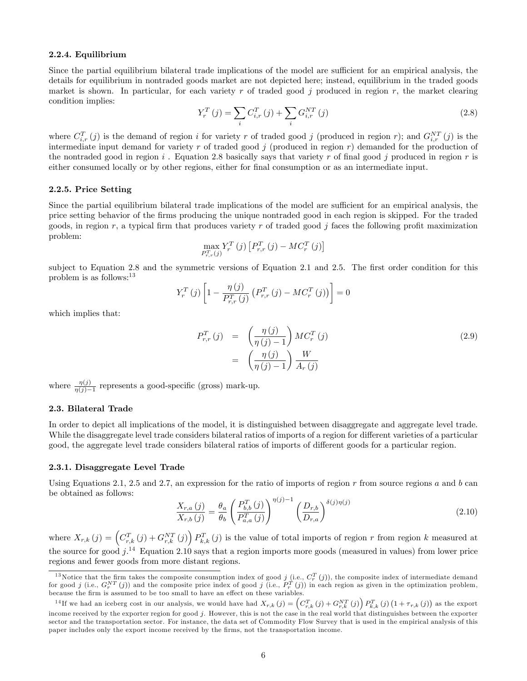#### 2.2.4. Equilibrium

Since the partial equilibrium bilateral trade implications of the model are sufficient for an empirical analysis, the details for equilibrium in nontraded goods market are not depicted here; instead, equilibrium in the traded goods market is shown. In particular, for each variety r of traded good  $j$  produced in region r, the market clearing condition implies:

$$
Y_r^T(j) = \sum_i C_{i,r}^T(j) + \sum_i G_{i,r}^{NT}(j)
$$
\n(2.8)

where  $C_{i,r}^T(j)$  is the demand of region i for variety r of traded good j (produced in region r); and  $G_{i,r}^{NT}(j)$  is the intermediate input demand for variety r of traded good j (produced in region  $r$ ) demanded for the production of the nontraded good in region i. Equation 2.8 basically says that variety r of final good j produced in region r is either consumed locally or by other regions, either for final consumption or as an intermediate input.

#### 2.2.5. Price Setting

Since the partial equilibrium bilateral trade implications of the model are sufficient for an empirical analysis, the price setting behavior of the Örms producing the unique nontraded good in each region is skipped. For the traded goods, in region r, a typical firm that produces variety r of traded good j faces the following profit maximization problem:

$$
\max_{P_{r,r}^T(j)} Y_r^T(j) \left[ P_{r,r}^T(j) - MC_r^T(j) \right]
$$

subject to Equation 2.8 and the symmetric versions of Equation 2.1 and 2.5. The first order condition for this problem is as follows:  $13$ 

$$
Y_r^T(j) \left[ 1 - \frac{\eta(j)}{P_{r,r}^T(j)} \left( P_{r,r}^T(j) - MC_r^T(j) \right) \right] = 0
$$

which implies that:

$$
P_{r,r}^T(j) = \left(\frac{\eta(j)}{\eta(j)-1}\right)MC_r^T(j)
$$
  

$$
= \left(\frac{\eta(j)}{\eta(j)-1}\right)\frac{W}{A_r(j)}
$$
 (2.9)

where  $\frac{\eta(j)}{\eta(j)-1}$  represents a good-specific (gross) mark-up.

#### 2.3. Bilateral Trade

In order to depict all implications of the model, it is distinguished between disaggregate and aggregate level trade. While the disaggregate level trade considers bilateral ratios of imports of a region for different varieties of a particular good, the aggregate level trade considers bilateral ratios of imports of different goods for a particular region.

#### 2.3.1. Disaggregate Level Trade

Using Equations 2.1, 2.5 and 2.7, an expression for the ratio of imports of region  $r$  from source regions  $a$  and  $b$  can be obtained as follows:

$$
\frac{X_{r,a}(j)}{X_{r,b}(j)} = \frac{\theta_a}{\theta_b} \left( \frac{P_{b,b}^T(j)}{P_{a,a}^T(j)} \right)^{\eta(j)-1} \left( \frac{D_{r,b}}{D_{r,a}} \right)^{\delta(j)\eta(j)} \tag{2.10}
$$

where  $X_{r,k}(j) = \left(C_{r,k}^T(j) + G_{r,k}^{NT}(j)\right)P_{k,k}^T(j)$  is the value of total imports of region r from region k measured at the source for good  $j^{14}$  Equation 2.10 says that a region imports more goods (measured in values) from lower price regions and fewer goods from more distant regions.

<sup>&</sup>lt;sup>13</sup>Notice that the firm takes the composite consumption index of good  $j$  (i.e.,  $C_r^T(j)$ ), the composite index of intermediate demand for good j (i.e.,  $G_r^{NT}(j)$ ) and the composite price index of good j (i.e.,  $P_r^T(j)$ ) in each region as given in the optimization problem, because the firm is assumed to be too small to have an effect on these variables.

<sup>&</sup>lt;sup>14</sup>If we had an iceberg cost in our analysis, we would have had  $X_{r,k} (j) = \left( C_{r,k}^T (j) + G_{r,k}^{NT} (j) \right) P_{k,k}^T (j) \left( 1 + \tau_{r,k} (j) \right)$  as the export income received by the exporter region for good j. However, this is not the case in the real world that distinguishes between the exporter sector and the transportation sector. For instance, the data set of Commodity Flow Survey that is used in the empirical analysis of this paper includes only the export income received by the firms, not the transportation income.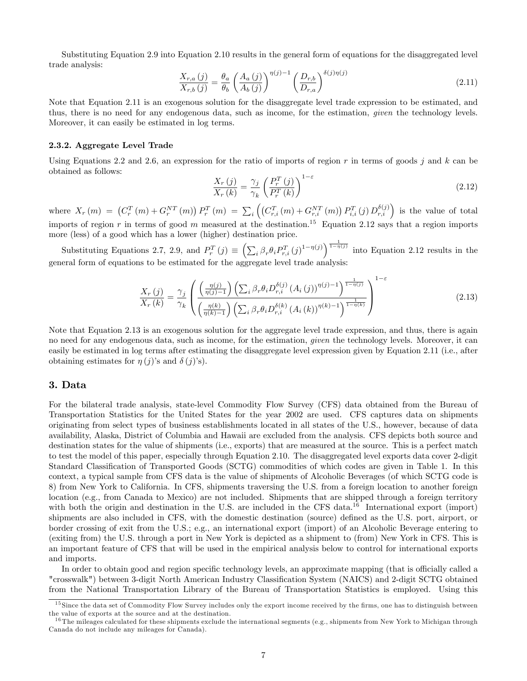Substituting Equation 2.9 into Equation 2.10 results in the general form of equations for the disaggregated level trade analysis:

$$
\frac{X_{r,a}(j)}{X_{r,b}(j)} = \frac{\theta_a}{\theta_b} \left(\frac{A_a(j)}{A_b(j)}\right)^{\eta(j)-1} \left(\frac{D_{r,b}}{D_{r,a}}\right)^{\delta(j)\eta(j)}\tag{2.11}
$$

Note that Equation 2.11 is an exogenous solution for the disaggregate level trade expression to be estimated, and thus, there is no need for any endogenous data, such as income, for the estimation, given the technology levels. Moreover, it can easily be estimated in log terms.

#### 2.3.2. Aggregate Level Trade

Using Equations 2.2 and 2.6, an expression for the ratio of imports of region r in terms of goods  $j$  and k can be obtained as follows:

$$
\frac{X_{r}\left(j\right)}{X_{r}\left(k\right)} = \frac{\gamma_{j}}{\gamma_{k}} \left(\frac{P_{r}^{T}\left(j\right)}{P_{r}^{T}\left(k\right)}\right)^{1-\varepsilon} \tag{2.12}
$$

where  $X_r(m) = (C_r^T(m) + G_r^{NT}(m)) P_r^T(m) = \sum_i ((C_{r,i}^T(m) + G_{r,i}^{NT}(m)) P_{i,i}^T(j) D_{r,i}^{\delta(j)})$  is the value of total imports of region r in terms of good m measured at the destination.<sup>15</sup> Equation 2.12 says that a region imports more (less) of a good which has a lower (higher) destination price.

Substituting Equations 2.7, 2.9, and  $P_r^T(j) \equiv \left(\sum_i \beta_r \theta_i P_{r,i}^T(j)^{1-\eta(j)}\right)^{\frac{1}{1-\eta(j)}}$  into Equation 2.12 results in the general form of equations to be estimated for the aggregate level trade analysis:

$$
\frac{X_r(j)}{X_r(k)} = \frac{\gamma_j}{\gamma_k} \left( \frac{\left(\frac{\eta(j)}{\eta(j)-1}\right) \left(\sum_i \beta_r \theta_i D_{r,i}^{\delta(j)} \left(A_i(j)\right)^{\eta(j)-1}\right)^{\frac{1}{1-\eta(j)}}}{\left(\frac{\eta(k)}{\eta(k)-1}\right) \left(\sum_i \beta_r \theta_i D_{r,i}^{\delta(k)} \left(A_i(k)\right)^{\eta(k)-1}\right)^{\frac{1}{1-\eta(k)}}} \right)^{1-\varepsilon} \tag{2.13}
$$

Note that Equation 2.13 is an exogenous solution for the aggregate level trade expression, and thus, there is again no need for any endogenous data, such as income, for the estimation, *given* the technology levels. Moreover, it can easily be estimated in log terms after estimating the disaggregate level expression given by Equation 2.11 (i.e., after obtaining estimates for  $\eta(i)$ 's and  $\delta(i)$ 's).

#### 3. Data

For the bilateral trade analysis, state-level Commodity Flow Survey (CFS) data obtained from the Bureau of Transportation Statistics for the United States for the year 2002 are used. CFS captures data on shipments originating from select types of business establishments located in all states of the U.S., however, because of data availability, Alaska, District of Columbia and Hawaii are excluded from the analysis. CFS depicts both source and destination states for the value of shipments (i.e., exports) that are measured at the source. This is a perfect match to test the model of this paper, especially through Equation 2.10. The disaggregated level exports data cover 2-digit Standard Classification of Transported Goods (SCTG) commodities of which codes are given in Table 1. In this context, a typical sample from CFS data is the value of shipments of Alcoholic Beverages (of which SCTG code is 8) from New York to California. In CFS, shipments traversing the U.S. from a foreign location to another foreign location (e.g., from Canada to Mexico) are not included. Shipments that are shipped through a foreign territory with both the origin and destination in the U.S. are included in the CFS data.<sup>16</sup> International export (import) shipments are also included in CFS, with the domestic destination (source) defined as the U.S. port, airport, or border crossing of exit from the U.S.; e.g., an international export (import) of an Alcoholic Beverage entering to (exiting from) the U.S. through a port in New York is depicted as a shipment to (from) New York in CFS. This is an important feature of CFS that will be used in the empirical analysis below to control for international exports and imports.

In order to obtain good and region specific technology levels, an approximate mapping (that is officially called a "crosswalk") between 3-digit North American Industry Classification System (NAICS) and 2-digit SCTG obtained from the National Transportation Library of the Bureau of Transportation Statistics is employed. Using this

<sup>&</sup>lt;sup>15</sup> Since the data set of Commodity Flow Survey includes only the export income received by the firms, one has to distinguish between the value of exports at the source and at the destination.

<sup>&</sup>lt;sup>16</sup> The mileages calculated for these shipments exclude the international segments (e.g., shipments from New York to Michigan through Canada do not include any mileages for Canada).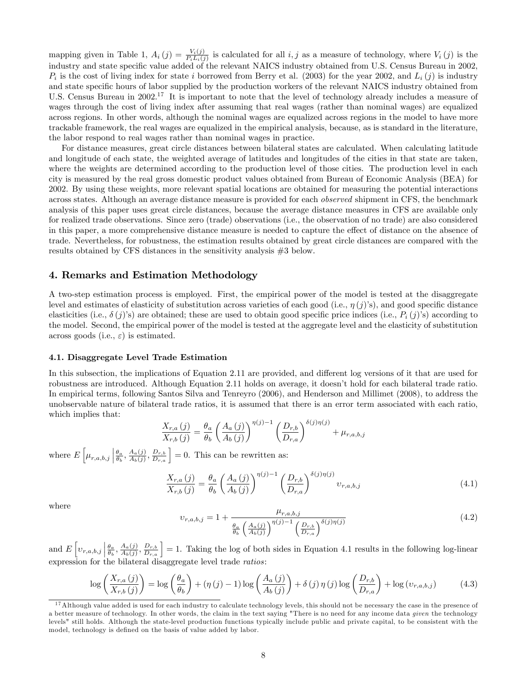mapping given in Table 1,  $A_i(j) = \frac{V_i(j)}{P_i L_i(j)}$  is calculated for all  $i, j$  as a measure of technology, where  $V_i(j)$  is the industry and state specific value added of the relevant NAICS industry obtained from U.S. Census Bureau in 2002,  $P_i$  is the cost of living index for state i borrowed from Berry et al. (2003) for the year 2002, and  $L_i(j)$  is industry and state specific hours of labor supplied by the production workers of the relevant NAICS industry obtained from U.S. Census Bureau in 2002.<sup>17</sup> It is important to note that the level of technology already includes a measure of wages through the cost of living index after assuming that real wages (rather than nominal wages) are equalized across regions. In other words, although the nominal wages are equalized across regions in the model to have more trackable framework, the real wages are equalized in the empirical analysis, because, as is standard in the literature, the labor respond to real wages rather than nominal wages in practice.

For distance measures, great circle distances between bilateral states are calculated. When calculating latitude and longitude of each state, the weighted average of latitudes and longitudes of the cities in that state are taken, where the weights are determined according to the production level of those cities. The production level in each city is measured by the real gross domestic product values obtained from Bureau of Economic Analysis (BEA) for 2002. By using these weights, more relevant spatial locations are obtained for measuring the potential interactions across states. Although an average distance measure is provided for each observed shipment in CFS, the benchmark analysis of this paper uses great circle distances, because the average distance measures in CFS are available only for realized trade observations. Since zero (trade) observations (i.e., the observation of no trade) are also considered in this paper, a more comprehensive distance measure is needed to capture the effect of distance on the absence of trade. Nevertheless, for robustness, the estimation results obtained by great circle distances are compared with the results obtained by CFS distances in the sensitivity analysis #3 below.

# 4. Remarks and Estimation Methodology

A two-step estimation process is employed. First, the empirical power of the model is tested at the disaggregate level and estimates of elasticity of substitution across varieties of each good (i.e.,  $\eta(j)$ 's), and good specific distance elasticities (i.e.,  $\delta(j)$ 's) are obtained; these are used to obtain good specific price indices (i.e.,  $P_i(j)$ 's) according to the model. Second, the empirical power of the model is tested at the aggregate level and the elasticity of substitution across goods (i.e.,  $\varepsilon$ ) is estimated.

#### 4.1. Disaggregate Level Trade Estimation

In this subsection, the implications of Equation 2.11 are provided, and different log versions of it that are used for robustness are introduced. Although Equation 2.11 holds on average, it doesnít hold for each bilateral trade ratio. In empirical terms, following Santos Silva and Tenreyro (2006), and Henderson and Millimet (2008), to address the unobservable nature of bilateral trade ratios, it is assumed that there is an error term associated with each ratio, which implies that:

$$
\frac{X_{r,a}(j)}{X_{r,b}(j)} = \frac{\theta_a}{\theta_b} \left( \frac{A_a(j)}{A_b(j)} \right)^{\eta(j)-1} \left( \frac{D_{r,b}}{D_{r,a}} \right)^{\delta(j)\eta(j)} + \mu_{r,a,b,j}
$$

where  $E\left[\mu_{r,a,b,j}\right]$  $\frac{\theta_a}{\theta_b}, \frac{A_a(j)}{A_b(j)}$  $\left(\frac{A_a(j)}{A_b(j)}, \frac{D_{r,b}}{D_{r,a}}\right] = 0.$  This can be rewritten as:

$$
\frac{X_{r,a}(j)}{X_{r,b}(j)} = \frac{\theta_a}{\theta_b} \left(\frac{A_a(j)}{A_b(j)}\right)^{\eta(j)-1} \left(\frac{D_{r,b}}{D_{r,a}}\right)^{\delta(j)\eta(j)} \upsilon_{r,a,b,j}
$$
\n(4.1)

where

$$
v_{r,a,b,j} = 1 + \frac{\mu_{r,a,b,j}}{\frac{\theta_a}{\theta_b} \left(\frac{A_a(j)}{A_b(j)}\right)^{\eta(j)-1} \left(\frac{D_{r,b}}{D_{r,a}}\right)^{\delta(j)\eta(j)}}
$$
(4.2)

and  $E\left[v_{r,a,b,j}\right]$  $\frac{\theta_a}{\theta_b}, \frac{A_a(j)}{A_b(j)}$  $\left(\frac{A_a(j)}{A_b(j)}, \frac{D_{r,b}}{D_{r,a}}\right) = 1.$  Taking the log of both sides in Equation 4.1 results in the following log-linear expression for the bilateral disaggregate level trade *ratios*:

$$
\log\left(\frac{X_{r,a}(j)}{X_{r,b}(j)}\right) = \log\left(\frac{\theta_a}{\theta_b}\right) + (\eta(j) - 1)\log\left(\frac{A_a(j)}{A_b(j)}\right) + \delta(j)\eta(j)\log\left(\frac{D_{r,b}}{D_{r,a}}\right) + \log(v_{r,a,b,j})\tag{4.3}
$$

 $17$ Although value added is used for each industry to calculate technology levels, this should not be necessary the case in the presence of a better measure of technology. In other words, the claim in the text saying "There is no need for any income data given the technology levels" still holds. Although the state-level production functions typically include public and private capital, to be consistent with the model, technology is defined on the basis of value added by labor.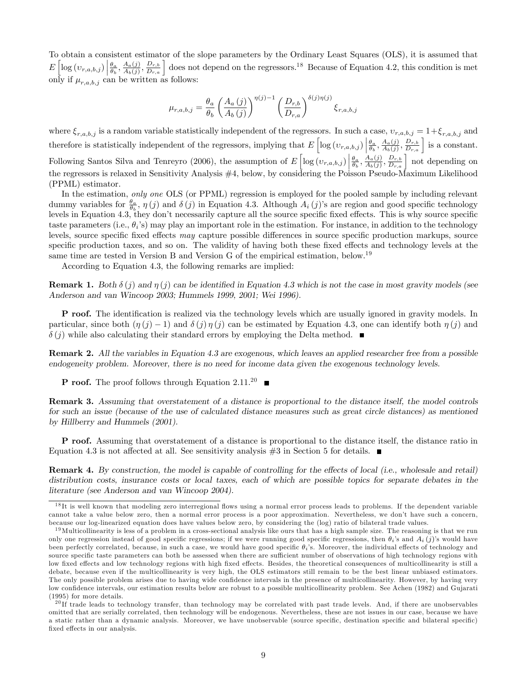To obtain a consistent estimator of the slope parameters by the Ordinary Least Squares (OLS), it is assumed that  $E\left[\log(v_{r,a,b,j})\right]$  $\frac{\theta_a}{\theta_b}, \frac{A_a(j)}{A_b(j)}$  $\frac{A_a(j)}{A_b(j)}, \frac{D_{r,b}}{D_{r,a}}$  does not depend on the regressors.<sup>18</sup> Because of Equation 4.2, this condition is met only if  $\mu_{r,a,b,j}$  can be written as follows:

$$
\mu_{r,a,b,j} = \frac{\theta_a}{\theta_b} \left( \frac{A_a(j)}{A_b(j)} \right)^{\eta(j)-1} \left( \frac{D_{r,b}}{D_{r,a}} \right)^{\delta(j)\eta(j)} \xi_{r,a,b,j}
$$

where  $\xi_{r,a,b,j}$  is a random variable statistically independent of the regressors. In such a case,  $v_{r,a,b,j} = 1+\xi_{r,a,b,j}$  and therefore is statistically independent of the regressors, implying that  $E\left[\log(v_{r,a,b,j})\right]$  $\frac{\theta_a}{\theta_b}, \frac{A_a(j)}{A_b(j)}$  $\left(\frac{A_a(j)}{A_b(j)}, \frac{D_{r,b}}{D_{r,a}}\right]$  is a constant. Following Santos Silva and Tenreyro (2006), the assumption of  $E\left[\log(v_{r,a,b,j})\right]$  $\frac{\theta_a}{\theta_b}, \frac{A_a(j)}{A_b(j)}$  $\left(\frac{A_a(j)}{A_b(j)}, \frac{D_{r,b}}{D_{r,a}}\right)$  not depending on the regressors is relaxed in Sensitivity Analysis #4, below, by considering the Poisson Pseudo-Maximum Likelihood (PPML) estimator.

In the estimation, only one OLS (or PPML) regression is employed for the pooled sample by including relevant dummy variables for  $\frac{\theta_a}{\theta_b}$ ,  $\eta(j)$  and  $\delta(j)$  in Equation 4.3. Although  $A_i(j)$ 's are region and good specific technology levels in Equation 4.3, they don't necessarily capture all the source specific fixed effects. This is why source specific taste parameters (i.e.,  $\theta_i$ 's) may play an important role in the estimation. For instance, in addition to the technology levels, source specific fixed effects may capture possible differences in source specific production markups, source specific production taxes, and so on. The validity of having both these fixed effects and technology levels at the same time are tested in Version B and Version G of the empirical estimation, below.<sup>19</sup>

According to Equation 4.3, the following remarks are implied:

**Remark 1.** Both  $\delta(j)$  and  $\eta(j)$  can be identified in Equation 4.3 which is not the case in most gravity models (see Anderson and van Wincoop 2003; Hummels 1999, 2001; Wei 1996).

**P** roof. The identification is realized via the technology levels which are usually ignored in gravity models. In particular, since both  $(\eta(i) - 1)$  and  $\delta(i) \eta(i)$  can be estimated by Equation 4.3, one can identify both  $\eta(i)$  and  $\delta(j)$  while also calculating their standard errors by employing the Delta method.  $\blacksquare$ 

Remark 2. All the variables in Equation 4.3 are exogenous, which leaves an applied researcher free from a possible endogeneity problem. Moreover, there is no need for income data given the exogenous technology levels.

**P** roof. The proof follows through Equation 2.11.<sup>20</sup>

Remark 3. Assuming that overstatement of a distance is proportional to the distance itself, the model controls for such an issue (because of the use of calculated distance measures such as great circle distances) as mentioned by Hillberry and Hummels (2001).

P roof. Assuming that overstatement of a distance is proportional to the distance itself, the distance ratio in Equation 4.3 is not affected at all. See sensitivity analysis  $\#3$  in Section 5 for details.

**Remark 4.** By construction, the model is capable of controlling for the effects of local (i.e., wholesale and retail) distribution costs, insurance costs or local taxes, each of which are possible topics for separate debates in the literature (see Anderson and van Wincoop 2004).

 $18$ It is well known that modeling zero interregional flows using a normal error process leads to problems. If the dependent variable cannot take a value below zero, then a normal error process is a poor approximation. Nevertheless, we donít have such a concern, because our log-linearized equation does have values below zero, by considering the (log) ratio of bilateral trade values.

 $19$ Multicollinearity is less of a problem in a cross-sectional analysis like ours that has a high sample size. The reasoning is that we run only one regression instead of good specific regressions; if we were running good specific regressions, then  $\theta_i$ 's and  $A_i(j)$ 's would have been perfectly correlated, because, in such a case, we would have good specific  $\theta_i$ 's. Moreover, the individual effects of technology and source specific taste parameters can both be assessed when there are sufficient number of observations of high technology regions with low fixed effects and low technology regions with high fixed effects. Besides, the theoretical consequences of multicollinearity is still a debate, because even if the multicollinearity is very high, the OLS estimators still remain to be the best linear unbiased estimators. The only possible problem arises due to having wide confidence intervals in the presence of multicollinearity. However, by having very low confidence intervals, our estimation results below are robust to a possible multicollinearity problem. See Achen (1982) and Gujarati (1995) for more details.

 $^{20}$ If trade leads to technology transfer, than technology may be correlated with past trade levels. And, if there are unobservables omitted that are serially correlated, then technology will be endogenous. Nevertheless, these are not issues in our case, because we have a static rather than a dynamic analysis. Moreover, we have unobservable (source specific, destination specific and bilateral specific) fixed effects in our analysis.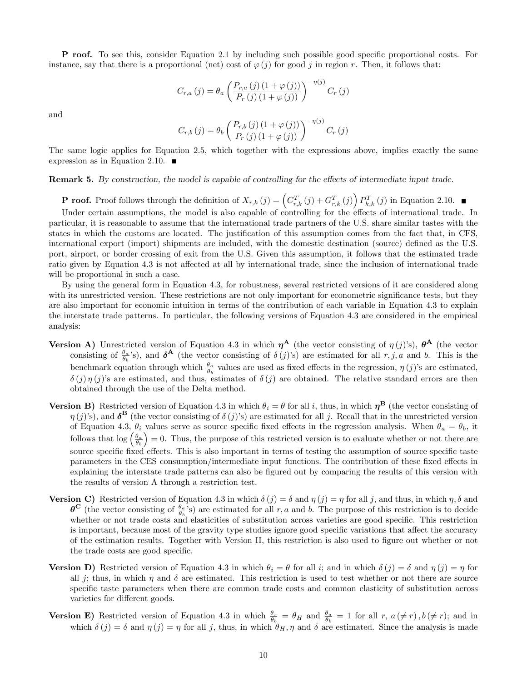**P** roof. To see this, consider Equation 2.1 by including such possible good specific proportional costs. For instance, say that there is a proportional (net) cost of  $\varphi(j)$  for good j in region r. Then, it follows that:

$$
C_{r,a}(j) = \theta_a \left( \frac{P_{r,a}(j) \left(1 + \varphi(j)\right)}{P_r(j) \left(1 + \varphi(j)\right)} \right)^{-\eta(j)} C_r(j)
$$

and

$$
C_{r,b}(j) = \theta_b \left( \frac{P_{r,b}(j) (1 + \varphi(j))}{P_r(j) (1 + \varphi(j))} \right)^{-\eta(j)} C_r(j)
$$

The same logic applies for Equation 2.5, which together with the expressions above, implies exactly the same expression as in Equation 2.10.  $\blacksquare$ 

Remark 5. By construction, the model is capable of controlling for the effects of intermediate input trade.

**P** roof. Proof follows through the definition of  $X_{r,k}(j) = \left(C_{r,k}^T(j) + G_{r,k}^T(j)\right) P_{k,k}^T(j)$  in Equation 2.10.

Under certain assumptions, the model is also capable of controlling for the effects of international trade. In particular, it is reasonable to assume that the international trade partners of the U.S. share similar tastes with the states in which the customs are located. The justification of this assumption comes from the fact that, in CFS. international export (import) shipments are included, with the domestic destination (source) defined as the U.S. port, airport, or border crossing of exit from the U.S. Given this assumption, it follows that the estimated trade ratio given by Equation 4.3 is not affected at all by international trade, since the inclusion of international trade will be proportional in such a case.

By using the general form in Equation 4.3, for robustness, several restricted versions of it are considered along with its unrestricted version. These restrictions are not only important for econometric significance tests, but they are also important for economic intuition in terms of the contribution of each variable in Equation 4.3 to explain the interstate trade patterns. In particular, the following versions of Equation 4.3 are considered in the empirical analysis:

- Version A) Unrestricted version of Equation 4.3 in which  $\eta^A$  (the vector consisting of  $\eta(j)$ 's),  $\theta^A$  (the vector consisting of  $\frac{\theta_a}{\theta_b}$ 's), and  $\delta^A$  (the vector consisting of  $\delta(j)$ 's) are estimated for all r, j, a and b. This is the benchmark equation through which  $\frac{\theta_a}{\theta_b}$  values are used as fixed effects in the regression,  $\eta(j)$ 's are estimated,  $\delta(j)\eta(j)$ 's are estimated, and thus, estimates of  $\delta(j)$  are obtained. The relative standard errors are then obtained through the use of the Delta method.
- **Version B)** Restricted version of Equation 4.3 in which  $\theta_i = \theta$  for all i, thus, in which  $\eta^{\text{B}}$  (the vector consisting of  $\eta(j)$ 's), and  $\delta^{\mathbf{B}}$  (the vector consisting of  $\delta(j)$ 's) are estimated for all j. Recall that in the unrestricted version of Equation 4.3,  $\theta_i$  values serve as source specific fixed effects in the regression analysis. When  $\theta_a = \theta_b$ , it follows that  $\log \left(\frac{\theta_a}{\theta_b}\right)$  $= 0$ . Thus, the purpose of this restricted version is to evaluate whether or not there are source specific fixed effects. This is also important in terms of testing the assumption of source specific taste parameters in the CES consumption/intermediate input functions. The contribution of these fixed effects in explaining the interstate trade patterns can also be figured out by comparing the results of this version with the results of version A through a restriction test.
- **Version C)** Restricted version of Equation 4.3 in which  $\delta(j) = \delta$  and  $\eta(j) = \eta$  for all j, and thus, in which  $\eta$ ,  $\delta$  and  $\theta^{\mathbf{C}}$  (the vector consisting of  $\frac{\theta_a}{\theta_b}$ 's) are estimated for all r, a and b. The purpose of this restriction is to decide whether or not trade costs and elasticities of substitution across varieties are good specific. This restriction is important, because most of the gravity type studies ignore good specific variations that affect the accuracy of the estimation results. Together with Version H, this restriction is also used to Ögure out whether or not the trade costs are good specific.
- **Version D)** Restricted version of Equation 4.3 in which  $\theta_i = \theta$  for all i; and in which  $\delta(j) = \delta$  and  $\eta(j) = \eta$  for all *i*; thus, in which  $\eta$  and  $\delta$  are estimated. This restriction is used to test whether or not there are source specific taste parameters when there are common trade costs and common elasticity of substitution across varieties for different goods.
- **Version E)** Restricted version of Equation 4.3 in which  $\frac{\theta_r}{\theta_b} = \theta_H$  and  $\frac{\theta_a}{\theta_b} = 1$  for all r,  $a (\neq r)$ ,  $b (\neq r)$ ; and in which  $\delta(j) = \delta$  and  $\eta(j) = \eta$  for all j, thus, in which  $\theta_H$ ,  $\eta$  and  $\delta$  are estimated. Since the analysis is made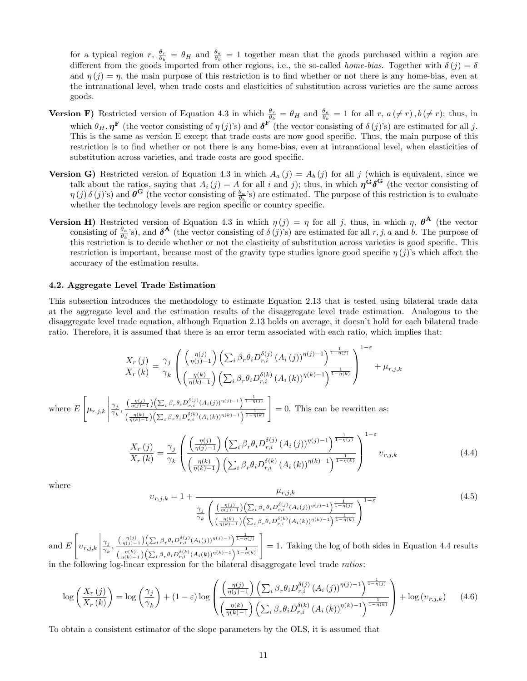for a typical region  $r, \frac{\theta_r}{\theta_b} = \theta_H$  and  $\frac{\theta_a}{\theta_b} = 1$  together mean that the goods purchased within a region are different from the goods imported from other regions, i.e., the so-called *home-bias*. Together with  $\delta(j) = \delta$ and  $\eta(j) = \eta$ , the main purpose of this restriction is to find whether or not there is any home-bias, even at the intranational level, when trade costs and elasticities of substitution across varieties are the same across goods.

- **Version F**) Restricted version of Equation 4.3 in which  $\frac{\theta_r}{\theta_b} = \theta_H$  and  $\frac{\theta_a}{\theta_b} = 1$  for all r,  $a(\neq r)$ ,  $b(\neq r)$ ; thus, in which  $\theta_H, \eta^{\mathbf{F}}$  (the vector consisting of  $\eta(j)$ 's) and  $\delta^{\mathbf{F}}$  (the vector consisting of  $\delta(j)$ 's) are estimated for all j. This is the same as version E except that trade costs are now good specific. Thus, the main purpose of this restriction is to find whether or not there is any home-bias, even at intranational level, when elasticities of substitution across varieties, and trade costs are good specific.
- **Version G)** Restricted version of Equation 4.3 in which  $A_a(j) = A_b(j)$  for all j (which is equivalent, since we talk about the ratios, saying that  $A_i(j) = A$  for all i and j); thus, in which  $\eta^{\mathbf{G}}\delta^{\mathbf{G}}$  (the vector consisting of  $\eta(j)\delta(j)$ s) and  $\theta^{\mathbf{G}}$  (the vector consisting of  $\frac{\theta_a}{\theta_b}$ s) are estimated. The purpose of this restriction is to evaluate whether the technology levels are region specific or country specific.
- Version H) Restricted version of Equation 4.3 in which  $\eta(j) = \eta$  for all j, thus, in which  $\eta$ ,  $\theta^{\mathbf{A}}$  (the vector consisting of  $\frac{\theta_a}{\theta_b}$ 's), and  $\delta^A$  (the vector consisting of  $\delta(j)$ 's) are estimated for all r, j, a and b. The purpose of this restriction is to decide whether or not the elasticity of substitution across varieties is good specific. This restriction is important, because most of the gravity type studies ignore good specific  $\eta(j)$ 's which affect the accuracy of the estimation results.

#### 4.2. Aggregate Level Trade Estimation

This subsection introduces the methodology to estimate Equation 2.13 that is tested using bilateral trade data at the aggregate level and the estimation results of the disaggregate level trade estimation. Analogous to the disaggregate level trade equation, although Equation 2.13 holds on average, it doesn't hold for each bilateral trade ratio. Therefore, it is assumed that there is an error term associated with each ratio, which implies that:

$$
\frac{X_r(j)}{X_r(k)} = \frac{\gamma_j}{\gamma_k} \left( \frac{\left(\frac{\eta(j)}{\eta(j)-1}\right) \left(\sum_i \beta_r \theta_i D_{r,i}^{\delta(j)} \left(A_i(j)\right)^{\eta(j)-1}\right)^{\frac{1}{1-\eta(j)}}}{\left(\frac{\eta(k)}{\eta(k)-1}\right) \left(\sum_i \beta_r \theta_i D_{r,i}^{\delta(k)} \left(A_i(k)\right)^{\eta(k)-1}\right)^{\frac{1}{1-\eta(k)}}} \right)^{1-\varepsilon} + \mu_{r,j,k}
$$

where  $E$  $\sqrt{ }$  $\mu_{r,j,k}$  $\begin{array}{c} \hline \rule{0pt}{2.5ex} \\[-2pt] \rule{0pt}{2.5ex} \end{array}$  $\gamma_j$  $\frac{\gamma_j}{\gamma_k}, \frac{\left(\frac{\eta(j)}{\eta(j)-1}\right)\left(\sum_i \beta_r \theta_i D_{r,i}^{\delta(j)}(A_i(j))^{\eta(j)-1}\right)^{\frac{1}{1-\eta(j)}}}{\left(\frac{\eta(k)}{\eta(k)}\right)\left(\sum_i \beta_i \theta_i D_{\delta}(k) (A_i(k))^{\eta(k)-1}\right)^{\frac{1}{1-\eta(k)}}}$  $\frac{\eta(k)}{\eta(k)-1}\Bigl(\sum_i \beta_r \theta_i D_{r,i}^{\delta(k)} (A_i(k))^{\eta(k)-1} \Bigr)^{\tfrac{1}{1-\eta(k)}}$ 1  $= 0$ . This can be rewritten as:

$$
\frac{X_r(j)}{X_r(k)} = \frac{\gamma_j}{\gamma_k} \left( \frac{\left(\frac{\eta(j)}{\eta(j)-1}\right) \left(\sum_i \beta_r \theta_i D_{r,i}^{\delta(j)} \left(A_i(j)\right)^{\eta(j)-1}\right)^{\frac{1}{1-\eta(j)}}}{\left(\frac{\eta(k)}{\eta(k)-1}\right) \left(\sum_i \beta_r \theta_i D_{r,i}^{\delta(k)} \left(A_i(k)\right)^{\eta(k)-1}\right)^{\frac{1}{1-\eta(k)}}} \right)^{1-\varepsilon} v_{r,j,k}
$$
\n(4.4)

where

$$
\upsilon_{r,j,k} = 1 + \frac{\mu_{r,j,k}}{\gamma_i} \left( \frac{\left(\frac{\eta(j)}{\eta(j)-1}\right) \left(\sum_i \beta_r \theta_i D_{r,i}^{\delta(j)} (A_i(j))^{\eta(j)-1}\right)^{\frac{1}{1-\eta(j)}}}{\left(\frac{\eta(k)}{\eta(k)-1}\right) \left(\sum_i \beta_r \theta_i D_{r,i}^{\delta(k)} (A_i(k))^{\eta(k)-1}\right)^{\frac{1}{1-\eta(k)}}} \right)^{1-\varepsilon} \tag{4.5}
$$

and E  $\sqrt{ }$  $v_{r,j,k}$  $\begin{array}{c} \begin{array}{c} \begin{array}{c} \begin{array}{c} \end{array} \\ \end{array} \end{array} \end{array}$  $\gamma_j$  $\frac{\gamma_j}{\gamma_k}, \frac{\left(\frac{\eta(j)}{\eta(j)-1}\right)\left(\sum_i \beta_r \theta_i D_{r,i}^{\delta(j)}(A_i(j))^{\eta(j)-1}\right)^{\frac{1}{1-\eta(j)}}}{\left(\frac{\eta(k)}{\eta(k)-1}\right)\left(\sum_i \beta_i D_{r,i}^{\delta(k)}(A_i(j))^{\eta(k)-1}\right)^{\frac{1}{1-\eta(k)}}}$  $\sqrt{\frac{\eta(k)}{\eta(k)-1}}\Bigl(\sum_i \beta_r \theta_i D_{r,i}^{\delta(k)} (A_i(k))^{\eta(k)-1} \Bigr)^{\tfrac{1}{1-\eta(k)}}$ 1 = 1. Taking the log of both sides in Equation 4.4 results in the following log-linear expression for the bilateral disaggregate level trade ratios:

$$
\log\left(\frac{X_r\left(j\right)}{X_r\left(k\right)}\right) = \log\left(\frac{\gamma_j}{\gamma_k}\right) + \left(1 - \varepsilon\right)\log\left(\frac{\left(\frac{\eta(j)}{\eta(j)-1}\right)\left(\sum_i \beta_r \theta_i D_{r,i}^{\delta(j)} \left(A_i\left(j\right)\right)^{\eta(j)-1}\right)^{\frac{1}{1-\eta(j)}}}{\left(\frac{\eta(k)}{\eta(k)-1}\right)\left(\sum_i \beta_r \theta_i D_{r,i}^{\delta(k)} \left(A_i\left(k\right)\right)^{\eta(k)-1}\right)^{\frac{1}{1-\eta(k)}}}\right) + \log(v_{r,j,k})\tag{4.6}
$$

To obtain a consistent estimator of the slope parameters by the OLS, it is assumed that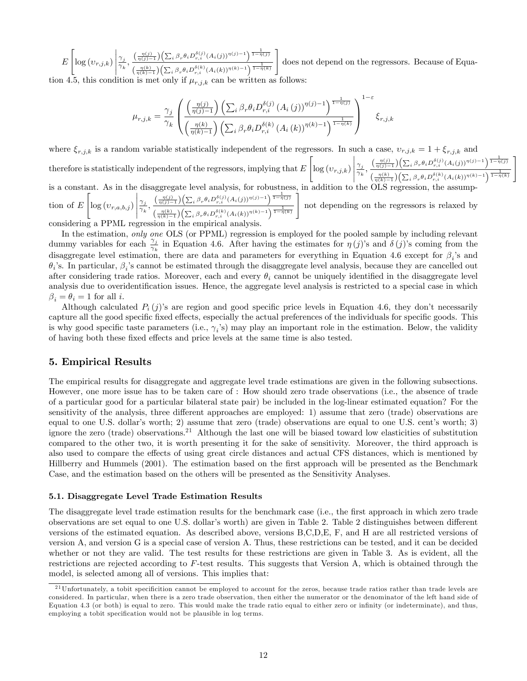$$
E\left[\log(v_{r,j,k})\middle|\frac{\gamma_j}{\gamma_k},\frac{\left(\frac{\eta(j)}{\eta(j)-1}\right)\left(\sum_i \beta_r \theta_i D_{r,i}^{\delta(j)}(A_i(j))^{\eta(j)-1}\right)^{\frac{1}{1-\eta(j)}}}{\left(\frac{\eta(k)}{\eta(k)-1}\right)\left(\sum_i \beta_r \theta_i D_{r,i}^{\delta(k)}(A_i(k))^{\eta(k)-1}\right)^{\frac{1}{1-\eta(k)}}}\right]\right]
$$
 does not depend on the regressors. Because of Equa-

tion 4.5, this condition is met only if  $\mu_{r,j,k}$  can be written as follows:

$$
\mu_{r,j,k} = \frac{\gamma_j}{\gamma_k} \left( \frac{\left(\frac{\eta(j)}{\eta(j)-1}\right) \left(\sum_i \beta_r \theta_i D_{r,i}^{\delta(j)} \left(A_i(j)\right)^{\eta(j)-1}\right)^{\frac{1}{1-\eta(j)}}}{\left(\frac{\eta(k)}{\eta(k)-1}\right) \left(\sum_i \beta_r \theta_i D_{r,i}^{\delta(k)} \left(A_i(k)\right)^{\eta(k)-1}\right)^{\frac{1}{1-\eta(k)}}} \right)^{1-\varepsilon} \xi_{r,j,k}
$$

where  $\xi_{r,j,k}$  is a random variable statistically independent of the regressors. In such a case,  $v_{r,j,k} = 1 + \xi_{r,i,k}$  and therefore is statistically independent of the regressors, implying that  $E$  $\sqrt{ }$  $\log\left(v_{r,j,k}\right)$  $\begin{array}{c} \begin{array}{c} \begin{array}{c} \begin{array}{c} \end{array}\\ \end{array} \end{array} \end{array} \end{array}$  $\gamma_j$  $\frac{\gamma_j}{\gamma_k}, \frac{\left(\frac{\eta(j)}{\eta(j)-1}\right)\left(\sum_i \beta_r \theta_i D_{r,i}^{\delta(j)}(A_i(j))^{\eta(j)-1}\right) \frac{1}{1-\eta(j)}}{\left(\frac{\eta(k)}{\eta(k)-1}\right)\left(\sum_i \beta_i \theta_i D_{r,i}^{\delta(k)}(A_i(j))^{\eta(k)-1}\right) \frac{1}{1-\eta(k)}}$  $\frac{\eta(k)}{\eta(k)-1}\Bigl(\sum_i \beta_r \theta_i D_{r,i}^{\delta(k)} (A_i(k))^{\eta(k)-1} \Bigr)^{\tfrac{1}{1-\eta(k)}}$ 1 is a constant. As in the disaggregate level analysis, for robustness, in addition to the OLS regression, the assumption of E  $\sqrt{ }$  $\log\left(v_{r,a,b,j}\right)$  $\begin{array}{c} \begin{array}{c} \begin{array}{c} \begin{array}{c} \end{array} \\ \end{array} \end{array} \end{array}$  $\gamma_j$  $\frac{\gamma_j}{\gamma_k}, \frac{\left(\frac{\eta(j)}{\eta(j)-1}\right)\left(\sum_i \beta_r \theta_i D_{r,i}^{\delta(j)}(A_i(j))^{\eta(j)-1}\right)^{\frac{1}{1-\eta(j)}}}{\left(\frac{\eta(k)}{\eta(k)-1}\right)\left(\sum_i \beta_i D_{r,i}^{\delta(k)}(A_i(j))^{\eta(k)-1}\right)^{\frac{1}{1-\eta(k)}}}$ 1

 $\sqrt{\frac{\eta(k)}{\eta(k)-1}}\Bigl(\sum_i {\beta}_r \theta_i D_{r,i}^{\delta(k)} (A_i(k))^{\eta(k)-1} \Bigr)^{\tfrac{1}{1-\eta(k)}}$ considering a PPML regression in the empirical analys

not depending on the regressors is relaxed by

In the estimation, only one OLS (or PPML) regression is employed for the pooled sample by including relevant dummy variables for each  $\frac{\gamma_j}{\gamma_k}$  in Equation 4.6. After having the estimates for  $\eta(j)$ 's and  $\delta(j)$ 's coming from the disaggregate level estimation, there are data and parameters for everything in Equation 4.6 except for  $\beta_i$ 's and  $\theta_i$ 's. In particular,  $\beta_i$ 's cannot be estimated through the disaggregate level analysis, because they are cancelled out after considering trade ratios. Moreover, each and every  $\theta_i$  cannot be uniquely identified in the disaggregate level analysis due to overidentification issues. Hence, the aggregate level analysis is restricted to a special case in which  $\beta_i = \theta_i = 1$  for all i.

Although calculated  $P_i(j)$ 's are region and good specific price levels in Equation 4.6, they don't necessarily capture all the good specific fixed effects, especially the actual preferences of the individuals for specific goods. This is why good specific taste parameters (i.e.,  $\gamma_i$ 's) may play an important role in the estimation. Below, the validity of having both these fixed effects and price levels at the same time is also tested.

# 5. Empirical Results

The empirical results for disaggregate and aggregate level trade estimations are given in the following subsections. However, one more issue has to be taken care of : How should zero trade observations (i.e., the absence of trade of a particular good for a particular bilateral state pair) be included in the log-linear estimated equation? For the sensitivity of the analysis, three different approaches are employed: 1) assume that zero (trade) observations are equal to one U.S. dollar's worth; 2) assume that zero (trade) observations are equal to one U.S. cent's worth; 3) ignore the zero (trade) observations.<sup>21</sup> Although the last one will be biased toward low elasticities of substitution compared to the other two, it is worth presenting it for the sake of sensitivity. Moreover, the third approach is also used to compare the effects of using great circle distances and actual CFS distances, which is mentioned by Hillberry and Hummels (2001). The estimation based on the first approach will be presented as the Benchmark Case, and the estimation based on the others will be presented as the Sensitivity Analyses.

### 5.1. Disaggregate Level Trade Estimation Results

The disaggregate level trade estimation results for the benchmark case (i.e., the first approach in which zero trade observations are set equal to one U.S. dollar's worth) are given in Table 2. Table 2 distinguishes between different versions of the estimated equation. As described above, versions B,C,D,E, F, and H are all restricted versions of version A, and version G is a special case of version A. Thus, these restrictions can be tested, and it can be decided whether or not they are valid. The test results for these restrictions are given in Table 3. As is evident, all the restrictions are rejected according to F-test results. This suggests that Version A, which is obtained through the model, is selected among all of versions. This implies that:

 $^{21}$ Unfortunately, a tobit specificition cannot be employed to account for the zeros, because trade ratios rather than trade levels are considered. In particular, when there is a zero trade observation, then either the numerator or the denominator of the left hand side of Equation 4.3 (or both) is equal to zero. This would make the trade ratio equal to either zero or infinity (or indeterminate), and thus, employing a tobit specification would not be plausible in log terms.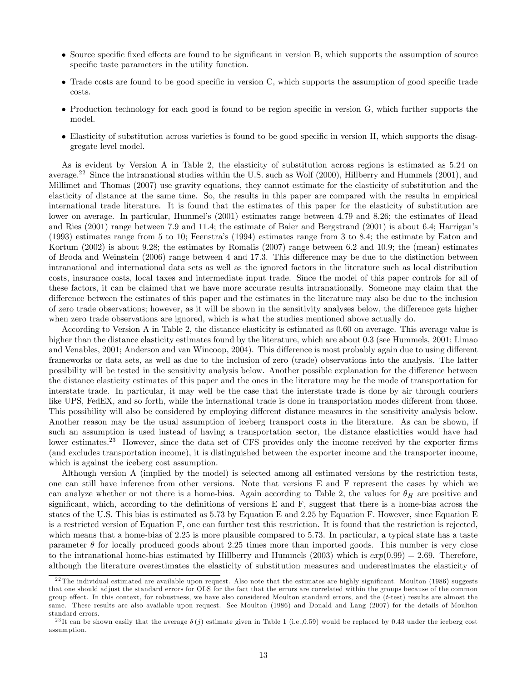- Source specific fixed effects are found to be significant in version B, which supports the assumption of source specific taste parameters in the utility function.
- Trade costs are found to be good specific in version C, which supports the assumption of good specific trade costs.
- $\bullet$  Production technology for each good is found to be region specific in version G, which further supports the model.
- $\bullet$  Elasticity of substitution across varieties is found to be good specific in version H, which supports the disaggregate level model.

As is evident by Version A in Table 2, the elasticity of substitution across regions is estimated as 5.24 on average.<sup>22</sup> Since the intranational studies within the U.S. such as Wolf (2000), Hillberry and Hummels (2001), and Millimet and Thomas (2007) use gravity equations, they cannot estimate for the elasticity of substitution and the elasticity of distance at the same time. So, the results in this paper are compared with the results in empirical international trade literature. It is found that the estimates of this paper for the elasticity of substitution are lower on average. In particular, Hummel's (2001) estimates range between 4.79 and 8.26; the estimates of Head and Ries (2001) range between 7.9 and 11.4; the estimate of Baier and Bergstrand (2001) is about 6.4; Harrigan's (1993) estimates range from 5 to 10; Feenstraís (1994) estimates range from 3 to 8.4; the estimate by Eaton and Kortum (2002) is about 9.28; the estimates by Romalis (2007) range between 6.2 and 10.9; the (mean) estimates of Broda and Weinstein (2006) range between 4 and 17.3. This difference may be due to the distinction between intranational and international data sets as well as the ignored factors in the literature such as local distribution costs, insurance costs, local taxes and intermediate input trade. Since the model of this paper controls for all of these factors, it can be claimed that we have more accurate results intranationally. Someone may claim that the difference between the estimates of this paper and the estimates in the literature may also be due to the inclusion of zero trade observations; however, as it will be shown in the sensitivity analyses below, the difference gets higher when zero trade observations are ignored, which is what the studies mentioned above actually do.

According to Version A in Table 2, the distance elasticity is estimated as 0.60 on average. This average value is higher than the distance elasticity estimates found by the literature, which are about 0.3 (see Hummels, 2001; Limao and Venables, 2001; Anderson and van Wincoop, 2004). This difference is most probably again due to using different frameworks or data sets, as well as due to the inclusion of zero (trade) observations into the analysis. The latter possibility will be tested in the sensitivity analysis below. Another possible explanation for the difference between the distance elasticity estimates of this paper and the ones in the literature may be the mode of transportation for interstate trade. In particular, it may well be the case that the interstate trade is done by air through couriers like UPS, FedEX, and so forth, while the international trade is done in transportation modes different from those. This possibility will also be considered by employing different distance measures in the sensitivity analysis below. Another reason may be the usual assumption of iceberg transport costs in the literature. As can be shown, if such an assumption is used instead of having a transportation sector, the distance elasticities would have had lower estimates.<sup>23</sup> However, since the data set of CFS provides only the income received by the exporter firms (and excludes transportation income), it is distinguished between the exporter income and the transporter income, which is against the iceberg cost assumption.

Although version A (implied by the model) is selected among all estimated versions by the restriction tests, one can still have inference from other versions. Note that versions E and F represent the cases by which we can analyze whether or not there is a home-bias. Again according to Table 2, the values for  $\theta_H$  are positive and significant, which, according to the definitions of versions  $E$  and  $F$ , suggest that there is a home-bias across the states of the U.S. This bias is estimated as 5.73 by Equation E and 2.25 by Equation F. However, since Equation E is a restricted version of Equation F, one can further test this restriction. It is found that the restriction is rejected, which means that a home-bias of 2.25 is more plausible compared to 5.73. In particular, a typical state has a taste parameter  $\theta$  for locally produced goods about 2.25 times more than imported goods. This number is very close to the intranational home-bias estimated by Hillberry and Hummels (2003) which is  $exp(0.99) = 2.69$ . Therefore, although the literature overestimates the elasticity of substitution measures and underestimates the elasticity of

 $22$ The individual estimated are available upon request. Also note that the estimates are highly significant. Moulton (1986) suggests that one should adjust the standard errors for OLS for the fact that the errors are correlated within the groups because of the common group effect. In this context, for robustness, we have also considered Moulton standard errors, and the  $(t\text{-test})$  results are almost the same. These results are also available upon request. See Moulton (1986) and Donald and Lang (2007) for the details of Moulton standard errors.

<sup>&</sup>lt;sup>23</sup>It can be shown easily that the average  $\delta(j)$  estimate given in Table 1 (i.e.,0.59) would be replaced by 0.43 under the iceberg cost assumption.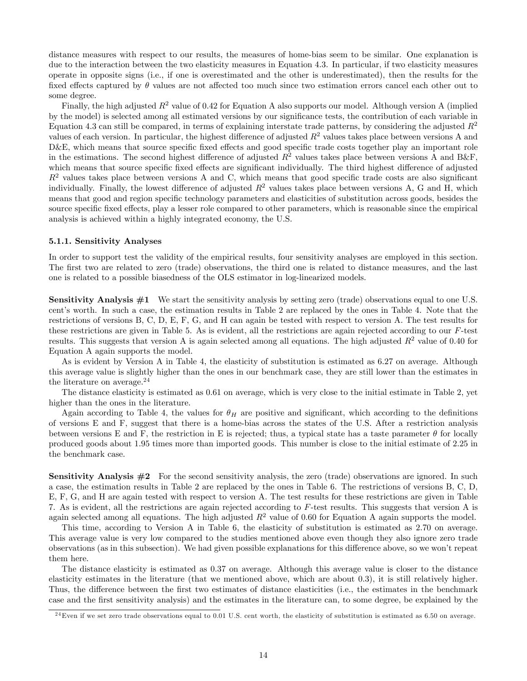distance measures with respect to our results, the measures of home-bias seem to be similar. One explanation is due to the interaction between the two elasticity measures in Equation 4.3. In particular, if two elasticity measures operate in opposite signs (i.e., if one is overestimated and the other is underestimated), then the results for the fixed effects captured by  $\theta$  values are not affected too much since two estimation errors cancel each other out to some degree.

Finally, the high adjusted  $R^2$  value of 0.42 for Equation A also supports our model. Although version A (implied by the model) is selected among all estimated versions by our signiÖcance tests, the contribution of each variable in Equation 4.3 can still be compared, in terms of explaining interstate trade patterns, by considering the adjusted  $R^2$ values of each version. In particular, the highest difference of adjusted  $R^2$  values takes place between versions A and  $D&E$ , which means that source specific fixed effects and good specific trade costs together play an important role in the estimations. The second highest difference of adjusted  $R^2$  values takes place between versions A and B&F. which means that source specific fixed effects are significant individually. The third highest difference of adjusted  $R<sup>2</sup>$  values takes place between versions A and C, which means that good specific trade costs are also significant individually. Finally, the lowest difference of adjusted  $R^2$  values takes place between versions A, G and H, which means that good and region specific technology parameters and elasticities of substitution across goods, besides the source specific fixed effects, play a lesser role compared to other parameters, which is reasonable since the empirical analysis is achieved within a highly integrated economy, the U.S.

#### 5.1.1. Sensitivity Analyses

In order to support test the validity of the empirical results, four sensitivity analyses are employed in this section. The first two are related to zero (trade) observations, the third one is related to distance measures, and the last one is related to a possible biasedness of the OLS estimator in log-linearized models.

Sensitivity Analysis  $#1$  We start the sensitivity analysis by setting zero (trade) observations equal to one U.S. centís worth. In such a case, the estimation results in Table 2 are replaced by the ones in Table 4. Note that the restrictions of versions B, C, D, E, F, G, and H can again be tested with respect to version A. The test results for these restrictions are given in Table 5. As is evident, all the restrictions are again rejected according to our  $F$ -test results. This suggests that version A is again selected among all equations. The high adjusted  $R^2$  value of 0.40 for Equation A again supports the model.

As is evident by Version A in Table 4, the elasticity of substitution is estimated as 6.27 on average. Although this average value is slightly higher than the ones in our benchmark case, they are still lower than the estimates in the literature on average. $^{24}$ 

The distance elasticity is estimated as 0.61 on average, which is very close to the initial estimate in Table 2, yet higher than the ones in the literature.

Again according to Table 4, the values for  $\theta_H$  are positive and significant, which according to the definitions of versions E and F, suggest that there is a home-bias across the states of the U.S. After a restriction analysis between versions E and F, the restriction in E is rejected; thus, a typical state has a taste parameter  $\theta$  for locally produced goods about 1.95 times more than imported goods. This number is close to the initial estimate of 2.25 in the benchmark case.

**Sensitivity Analysis**  $#2$  For the second sensitivity analysis, the zero (trade) observations are ignored. In such a case, the estimation results in Table 2 are replaced by the ones in Table 6. The restrictions of versions B, C, D, E, F, G, and H are again tested with respect to version A. The test results for these restrictions are given in Table 7. As is evident, all the restrictions are again rejected according to F-test results. This suggests that version A is again selected among all equations. The high adjusted  $R^2$  value of 0.60 for Equation A again supports the model.

This time, according to Version A in Table 6, the elasticity of substitution is estimated as 2.70 on average. This average value is very low compared to the studies mentioned above even though they also ignore zero trade observations (as in this subsection). We had given possible explanations for this difference above, so we won't repeat them here.

The distance elasticity is estimated as 0.37 on average. Although this average value is closer to the distance elasticity estimates in the literature (that we mentioned above, which are about 0.3), it is still relatively higher. Thus, the difference between the first two estimates of distance elasticities (i.e., the estimates in the benchmark case and the Örst sensitivity analysis) and the estimates in the literature can, to some degree, be explained by the

 $^{24}$ Even if we set zero trade observations equal to 0.01 U.S. cent worth, the elasticity of substitution is estimated as 6.50 on average.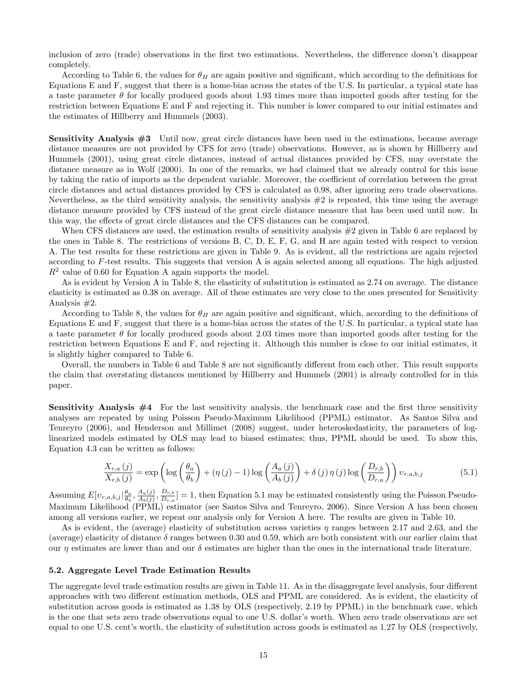inclusion of zero (trade) observations in the first two estimations. Nevertheless, the difference doesn't disappear completely.

According to Table 6, the values for  $\theta_H$  are again positive and significant, which according to the definitions for Equations E and F, suggest that there is a home-bias across the states of the U.S. In particular, a typical state has a taste parameter  $\theta$  for locally produced goods about 1.93 times more than imported goods after testing for the restriction between Equations E and F and rejecting it. This number is lower compared to our initial estimates and the estimates of Hillberry and Hummels (2003).

Sensitivity Analysis #3 Until now, great circle distances have been used in the estimations, because average distance measures are not provided by CFS for zero (trade) observations. However, as is shown by Hillberry and Hummels (2001), using great circle distances, instead of actual distances provided by CFS, may overstate the distance measure as in Wolf (2000). In one of the remarks, we had claimed that we already control for this issue by taking the ratio of imports as the dependent variable. Moreover, the coefficient of correlation between the great circle distances and actual distances provided by CFS is calculated as 0:98, after ignoring zero trade observations. Nevertheless, as the third sensitivity analysis, the sensitivity analysis  $#2$  is repeated, this time using the average distance measure provided by CFS instead of the great circle distance measure that has been used until now. In this way, the effects of great circle distances and the CFS distances can be compared.

When CFS distances are used, the estimation results of sensitivity analysis  $\#2$  given in Table 6 are replaced by the ones in Table 8. The restrictions of versions B, C, D, E, F, G, and H are again tested with respect to version A. The test results for these restrictions are given in Table 9. As is evident, all the restrictions are again rejected according to F-test results. This suggests that version A is again selected among all equations. The high adjusted  $R^2$  value of 0.60 for Equation A again supports the model.

As is evident by Version A in Table 8, the elasticity of substitution is estimated as 2.74 on average. The distance elasticity is estimated as 0.38 on average. All of these estimates are very close to the ones presented for Sensitivity Analysis #2.

According to Table 8, the values for  $\theta_H$  are again positive and significant, which, according to the definitions of Equations E and F, suggest that there is a home-bias across the states of the U.S. In particular, a typical state has a taste parameter  $\theta$  for locally produced goods about 2.03 times more than imported goods after testing for the restriction between Equations E and F, and rejecting it. Although this number is close to our initial estimates, it is slightly higher compared to Table 6.

Overall, the numbers in Table 6 and Table 8 are not significantly different from each other. This result supports the claim that overstating distances mentioned by Hillberry and Hummels (2001) is already controlled for in this paper.

**Sensitivity Analysis**  $#4$  For the last sensitivity analysis, the benchmark case and the first three sensitivity analyses are repeated by using Poisson Pseudo-Maximum Likelihood (PPML) estimator. As Santos Silva and Tenreyro (2006), and Henderson and Millimet (2008) suggest, under heteroskedasticity, the parameters of loglinearized models estimated by OLS may lead to biased estimates; thus, PPML should be used. To show this, Equation 4.3 can be written as follows:

$$
\frac{X_{r,a}(j)}{X_{r,b}(j)} = \exp\left(\log\left(\frac{\theta_a}{\theta_b}\right) + (\eta(j) - 1)\log\left(\frac{A_a(j)}{A_b(j)}\right) + \delta(j)\eta(j)\log\left(\frac{D_{r,b}}{D_{r,a}}\right)\right)v_{r,a,b,j} \tag{5.1}
$$

Assuming  $E[v_{r,a,b,j}|\frac{\theta_a}{\theta_b}, \frac{A_a(j)}{A_b(j)}]$  $\frac{A_a(j)}{A_b(j)}, \frac{D_{r,b}}{D_{r,a}}$  $\left[\frac{D_{r,b}}{D_{r,a}}\right] = 1$ , then Equation 5.1 may be estimated consistently using the Poisson Pseudo-Maximum Likelihood (PPML) estimator (see Santos Silva and Tenreyro, 2006). Since Version A has been chosen among all versions earlier, we repeat our analysis only for Version A here. The results are given in Table 10.

As is evident, the (average) elasticity of substitution across varieties  $\eta$  ranges between 2.17 and 2.63, and the (average) elasticity of distance  $\delta$  ranges between 0.30 and 0.59, which are both consistent with our earlier claim that our  $\eta$  estimates are lower than and our  $\delta$  estimates are higher than the ones in the international trade literature.

#### 5.2. Aggregate Level Trade Estimation Results

The aggregate level trade estimation results are given in Table 11. As in the disaggregate level analysis, four different approaches with two different estimation methods, OLS and PPML are considered. As is evident, the elasticity of substitution across goods is estimated as 1:38 by OLS (respectively, 2:19 by PPML) in the benchmark case, which is the one that sets zero trade observations equal to one U.S. dollar's worth. When zero trade observations are set equal to one U.S. centís worth, the elasticity of substitution across goods is estimated as 1:27 by OLS (respectively,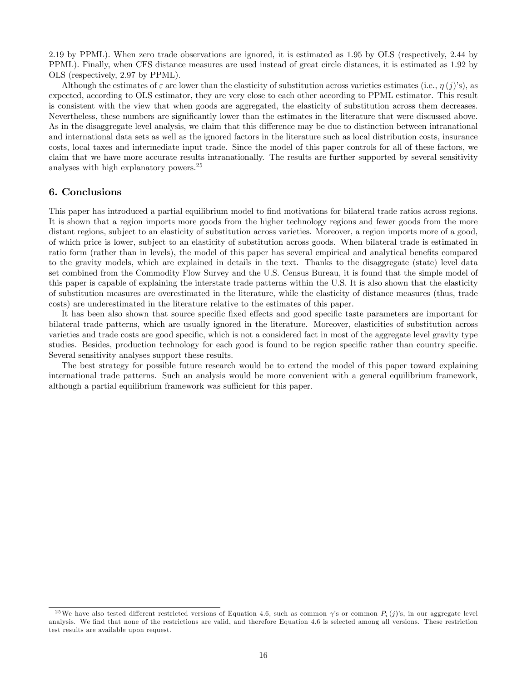2:19 by PPML). When zero trade observations are ignored, it is estimated as 1:95 by OLS (respectively, 2:44 by PPML). Finally, when CFS distance measures are used instead of great circle distances, it is estimated as 1:92 by OLS (respectively, 2:97 by PPML).

Although the estimates of  $\varepsilon$  are lower than the elasticity of substitution across varieties estimates (i.e.,  $\eta(j)$ 's), as expected, according to OLS estimator, they are very close to each other according to PPML estimator. This result is consistent with the view that when goods are aggregated, the elasticity of substitution across them decreases. Nevertheless, these numbers are signiÖcantly lower than the estimates in the literature that were discussed above. As in the disaggregate level analysis, we claim that this difference may be due to distinction between intranational and international data sets as well as the ignored factors in the literature such as local distribution costs, insurance costs, local taxes and intermediate input trade. Since the model of this paper controls for all of these factors, we claim that we have more accurate results intranationally. The results are further supported by several sensitivity analyses with high explanatory powers.<sup>25</sup>

# 6. Conclusions

This paper has introduced a partial equilibrium model to find motivations for bilateral trade ratios across regions. It is shown that a region imports more goods from the higher technology regions and fewer goods from the more distant regions, subject to an elasticity of substitution across varieties. Moreover, a region imports more of a good, of which price is lower, subject to an elasticity of substitution across goods. When bilateral trade is estimated in ratio form (rather than in levels), the model of this paper has several empirical and analytical benefits compared to the gravity models, which are explained in details in the text. Thanks to the disaggregate (state) level data set combined from the Commodity Flow Survey and the U.S. Census Bureau, it is found that the simple model of this paper is capable of explaining the interstate trade patterns within the U.S. It is also shown that the elasticity of substitution measures are overestimated in the literature, while the elasticity of distance measures (thus, trade costs) are underestimated in the literature relative to the estimates of this paper.

It has been also shown that source specific fixed effects and good specific taste parameters are important for bilateral trade patterns, which are usually ignored in the literature. Moreover, elasticities of substitution across varieties and trade costs are good specific, which is not a considered fact in most of the aggregate level gravity type studies. Besides, production technology for each good is found to be region specific rather than country specific. Several sensitivity analyses support these results.

The best strategy for possible future research would be to extend the model of this paper toward explaining international trade patterns. Such an analysis would be more convenient with a general equilibrium framework, although a partial equilibrium framework was sufficient for this paper.

<sup>&</sup>lt;sup>25</sup>We have also tested different restricted versions of Equation 4.6, such as common  $\gamma$ 's or common  $P_i(j)$ 's, in our aggregate level analysis. We find that none of the restrictions are valid, and therefore Equation 4.6 is selected among all versions. These restriction test results are available upon request.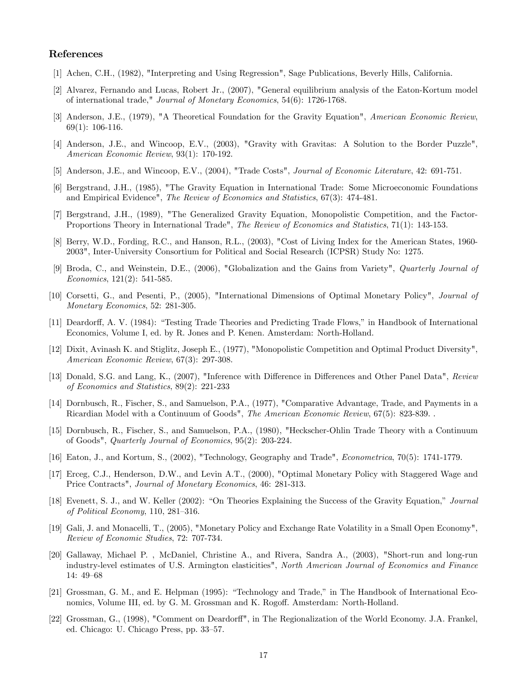# References

- [1] Achen, C.H., (1982), "Interpreting and Using Regression", Sage Publications, Beverly Hills, California.
- [2] Alvarez, Fernando and Lucas, Robert Jr., (2007), "General equilibrium analysis of the Eaton-Kortum model of international trade," Journal of Monetary Economics, 54(6): 1726-1768.
- [3] Anderson, J.E., (1979), "A Theoretical Foundation for the Gravity Equation", American Economic Review, 69(1): 106-116.
- [4] Anderson, J.E., and Wincoop, E.V., (2003), "Gravity with Gravitas: A Solution to the Border Puzzle", American Economic Review, 93(1): 170-192.
- [5] Anderson, J.E., and Wincoop, E.V., (2004), "Trade Costs", Journal of Economic Literature, 42: 691-751.
- [6] Bergstrand, J.H., (1985), "The Gravity Equation in International Trade: Some Microeconomic Foundations and Empirical Evidence", The Review of Economics and Statistics, 67(3): 474-481.
- [7] Bergstrand, J.H., (1989), "The Generalized Gravity Equation, Monopolistic Competition, and the Factor-Proportions Theory in International Trade", The Review of Economics and Statistics, 71(1): 143-153.
- [8] Berry, W.D., Fording, R.C., and Hanson, R.L., (2003), "Cost of Living Index for the American States, 1960- 2003", Inter-University Consortium for Political and Social Research (ICPSR) Study No: 1275.
- [9] Broda, C., and Weinstein, D.E., (2006), "Globalization and the Gains from Variety", Quarterly Journal of Economics, 121(2): 541-585.
- [10] Corsetti, G., and Pesenti, P., (2005), "International Dimensions of Optimal Monetary Policy", Journal of Monetary Economics, 52: 281-305.
- [11] Deardorff, A. V. (1984): "Testing Trade Theories and Predicting Trade Flows," in Handbook of International Economics, Volume I, ed. by R. Jones and P. Kenen. Amsterdam: North-Holland.
- [12] Dixit, Avinash K. and Stiglitz, Joseph E., (1977), "Monopolistic Competition and Optimal Product Diversity", American Economic Review, 67(3): 297-308.
- [13] Donald, S.G. and Lang, K., (2007), "Inference with Difference in Differences and Other Panel Data", Review of Economics and Statistics, 89(2): 221-233
- [14] Dornbusch, R., Fischer, S., and Samuelson, P.A., (1977), "Comparative Advantage, Trade, and Payments in a Ricardian Model with a Continuum of Goods", The American Economic Review, 67(5): 823-839. .
- [15] Dornbusch, R., Fischer, S., and Samuelson, P.A., (1980), "Heckscher-Ohlin Trade Theory with a Continuum of Goods", Quarterly Journal of Economics, 95(2): 203-224.
- [16] Eaton, J., and Kortum, S., (2002), "Technology, Geography and Trade", Econometrica, 70(5): 1741-1779.
- [17] Erceg, C.J., Henderson, D.W., and Levin A.T., (2000), "Optimal Monetary Policy with Staggered Wage and Price Contracts", Journal of Monetary Economics, 46: 281-313.
- [18] Evenett, S. J., and W. Keller (2002): "On Theories Explaining the Success of the Gravity Equation," Journal of Political Economy,  $110$ ,  $281-316$ .
- [19] Gali, J. and Monacelli, T., (2005), "Monetary Policy and Exchange Rate Volatility in a Small Open Economy", Review of Economic Studies, 72: 707-734.
- [20] Gallaway, Michael P. , McDaniel, Christine A., and Rivera, Sandra A., (2003), "Short-run and long-run industry-level estimates of U.S. Armington elasticities", North American Journal of Economics and Finance 14: 49–68
- [21] Grossman, G. M., and E. Helpman (1995): "Technology and Trade," in The Handbook of International Economics, Volume III, ed. by G. M. Grossman and K. Rogoff. Amsterdam: North-Holland.
- [22] Grossman, G., (1998), "Comment on Deardorff", in The Regionalization of the World Economy. J.A. Frankel, ed. Chicago: U. Chicago Press, pp. 33–57.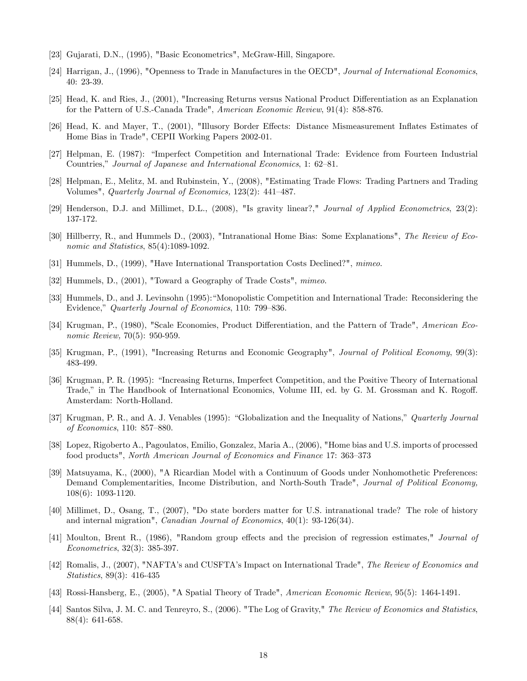- [23] Gujarati, D.N., (1995), "Basic Econometrics", McGraw-Hill, Singapore.
- [24] Harrigan, J., (1996), "Openness to Trade in Manufactures in the OECD", Journal of International Economics, 40: 23-39.
- [25] Head, K. and Ries, J., (2001), "Increasing Returns versus National Product Differentiation as an Explanation for the Pattern of U.S.-Canada Trade", American Economic Review, 91(4): 858-876.
- [26] Head, K. and Mayer, T., (2001), "Illusory Border Effects: Distance Mismeasurement Inflates Estimates of Home Bias in Trade", CEPII Working Papers 2002-01.
- [27] Helpman, E. (1987): "Imperfect Competition and International Trade: Evidence from Fourteen Industrial Countries," Journal of Japanese and International Economics, 1: 62-81.
- [28] Helpman, E., Melitz, M. and Rubinstein, Y., (2008), "Estimating Trade Flows: Trading Partners and Trading Volumes", *Quarterly Journal of Economics*,  $123(2)$ :  $441-487$ .
- [29] Henderson, D.J. and Millimet, D.L., (2008), "Is gravity linear?," Journal of Applied Econometrics, 23(2): 137-172.
- [30] Hillberry, R., and Hummels D., (2003), "Intranational Home Bias: Some Explanations", The Review of Economic and Statistics, 85(4):1089-1092.
- [31] Hummels, D., (1999), "Have International Transportation Costs Declined?", mimeo.
- [32] Hummels, D., (2001), "Toward a Geography of Trade Costs", mimeo.
- [33] Hummels, D., and J. Levinsohn (1995): "Monopolistic Competition and International Trade: Reconsidering the Evidence," Quarterly Journal of Economics, 110: 799–836.
- [34] Krugman, P., (1980), "Scale Economies, Product Differentiation, and the Pattern of Trade", American Economic Review, 70(5): 950-959.
- [35] Krugman, P., (1991), "Increasing Returns and Economic Geography", Journal of Political Economy, 99(3): 483-499.
- [36] Krugman, P. R. (1995): "Increasing Returns, Imperfect Competition, and the Positive Theory of International Trade," in The Handbook of International Economics, Volume III, ed. by G. M. Grossman and K. Rogoff. Amsterdam: North-Holland.
- [37] Krugman, P. R., and A. J. Venables (1995): "Globalization and the Inequality of Nations," Quarterly Journal of Economics,  $110: 857 - 880$ .
- [38] Lopez, Rigoberto A., Pagoulatos, Emilio, Gonzalez, Maria A., (2006), "Home bias and U.S. imports of processed food products", North American Journal of Economics and Finance 17: 363–373
- [39] Matsuyama, K., (2000), "A Ricardian Model with a Continuum of Goods under Nonhomothetic Preferences: Demand Complementarities, Income Distribution, and North-South Trade", *Journal of Political Economy*, 108(6): 1093-1120.
- [40] Millimet, D., Osang, T., (2007), "Do state borders matter for U.S. intranational trade? The role of history and internal migration", Canadian Journal of Economics, 40(1): 93-126(34).
- [41] Moulton, Brent R., (1986), "Random group effects and the precision of regression estimates," Journal of Econometrics, 32(3): 385-397.
- [42] Romalis, J., (2007), "NAFTA's and CUSFTA's Impact on International Trade", The Review of Economics and Statistics, 89(3): 416-435
- [43] Rossi-Hansberg, E., (2005), "A Spatial Theory of Trade", American Economic Review, 95(5): 1464-1491.
- [44] Santos Silva, J. M. C. and Tenreyro, S., (2006). "The Log of Gravity," The Review of Economics and Statistics, 88(4): 641-658.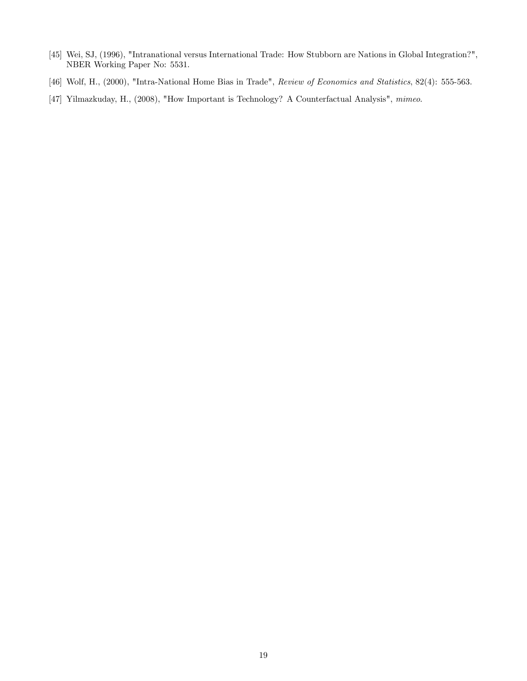- [45] Wei, SJ, (1996), "Intranational versus International Trade: How Stubborn are Nations in Global Integration?", NBER Working Paper No: 5531.
- [46] Wolf, H., (2000), "Intra-National Home Bias in Trade", Review of Economics and Statistics, 82(4): 555-563.
- [47] Yilmazkuday, H., (2008), "How Important is Technology? A Counterfactual Analysis", mimeo.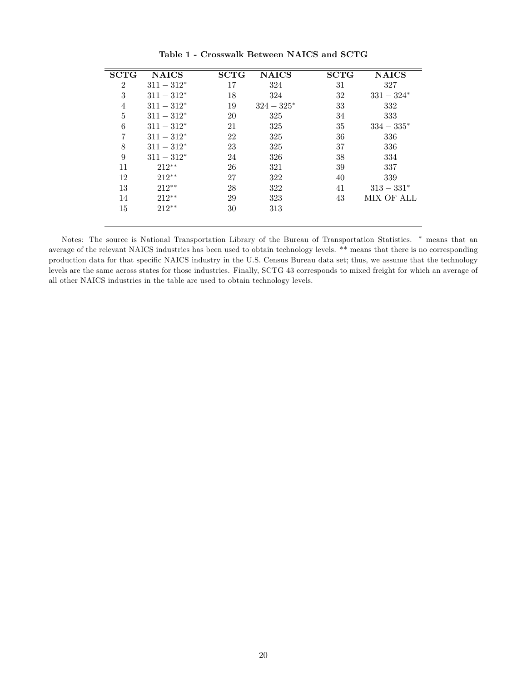| <b>SCTG</b>    | <b>NAICS</b>  | <b>SCTG</b> | <b>NAICS</b>  | <b>SCTG</b> | <b>NAICS</b>  |
|----------------|---------------|-------------|---------------|-------------|---------------|
| $\overline{2}$ | $311 - 312*$  | 17          | 324           | 31          | 327           |
| 3              | $311 - 312^*$ | 18          | 324           | 32          | $331 - 324*$  |
| 4              | $311 - 312^*$ | 19          | $324 - 325^*$ | 33          | 332           |
| $\bf 5$        | $311 - 312*$  | 20          | 325           | 34          | 333           |
| 6              | $311 - 312*$  | 21          | 325           | 35          | $334 - 335^*$ |
| 7              | $311 - 312*$  | 22          | 325           | 36          | 336           |
| 8              | $311 - 312^*$ | 23          | 325           | 37          | 336           |
| 9              | $311 - 312^*$ | 24          | 326           | 38          | 334           |
| 11             | $212**$       | 26          | 321           | 39          | 337           |
| 12             | $212**$       | 27          | 322           | 40          | 339           |
| 13             | $212**$       | 28          | 322           | 41          | $313 - 331*$  |
| 14             | $212**$       | 29          | 323           | 43          | MIX OF ALL    |
| 15             | $212**$       | 30          | 313           |             |               |
|                |               |             |               |             |               |

Table 1 - Crosswalk Between NAICS and SCTG

Notes: The source is National Transportation Library of the Bureau of Transportation Statistics. means that an average of the relevant NAICS industries has been used to obtain technology levels. \*\* means that there is no corresponding production data for that specific NAICS industry in the U.S. Census Bureau data set; thus, we assume that the technology levels are the same across states for those industries. Finally, SCTG 43 corresponds to mixed freight for which an average of all other NAICS industries in the table are used to obtain technology levels.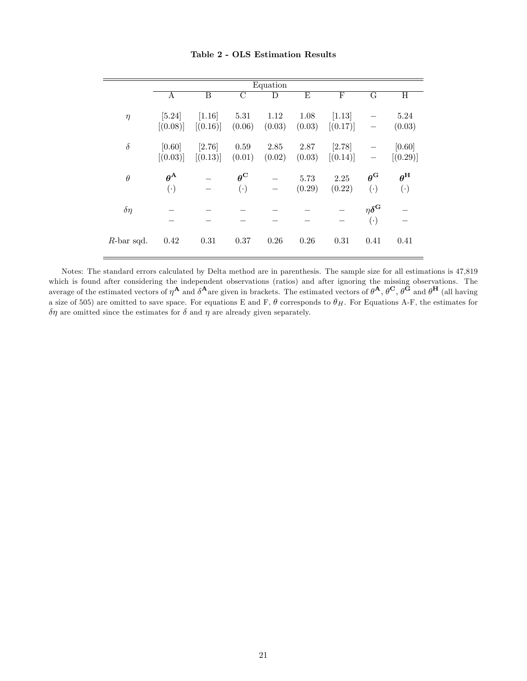|               |                                    |                      |                               | Equation       |                |                    |                                         |                               |
|---------------|------------------------------------|----------------------|-------------------------------|----------------|----------------|--------------------|-----------------------------------------|-------------------------------|
|               | А                                  | B                    | $\mathcal{C}$                 | D              | E              | F                  | G                                       | H                             |
| $\eta$        | $[5.24]$<br>[(0.08)]               | $[1.16]$<br>[(0.16)] | 5.31<br>(0.06)                | 1.12<br>(0.03) | 1.08<br>(0.03) | [1.13]<br>[(0.17)] |                                         | 5.24<br>(0.03)                |
| $\delta$      | [0.60]<br>[(0.03)]                 | [2.76]<br>[(0.13)]   | 0.59<br>(0.01)                | 2.85<br>(0.02) | 2.87<br>(0.03) | [2.78]<br>[(0.14)] |                                         | [0.60]<br>[(0.29)]            |
| $\theta$      | $\theta^{\mathbf{A}}$<br>$(\cdot)$ |                      | $\theta^{\rm C}$<br>$(\cdot)$ |                | 5.73<br>(0.29) | 2.25<br>(0.22)     | $\theta^{\rm G}$<br>$(\cdot)$           | $\theta^{\rm H}$<br>$(\cdot)$ |
| $\delta\eta$  |                                    |                      |                               |                |                |                    | $\eta \delta^{\mathbf{G}}$<br>$(\cdot)$ |                               |
| $R$ -bar sqd. | 0.42                               | 0.31                 | 0.37                          | 0.26           | 0.26           | 0.31               | 0.41                                    | 0.41                          |

Table 2 - OLS Estimation Results

 $\equiv$ 

Notes: The standard errors calculated by Delta method are in parenthesis. The sample size for all estimations is 47,819 which is found after considering the independent observations (ratios) and after ignoring the missing observations. The average of the estimated vectors of  $\eta^A$  and  $\delta^A$  are given in brackets. The estimated vectors of  $\theta^A$ ,  $\theta^C$ ,  $\theta^{\breve{G}}$  and  $\theta^H$  (all having a size of 505) are omitted to save space. For equations E and F,  $\theta$  corresponds to  $\theta_H$ . For Equations A-F, the estimates for  $\delta\eta$  are omitted since the estimates for  $\delta$  and  $\eta$  are already given separately.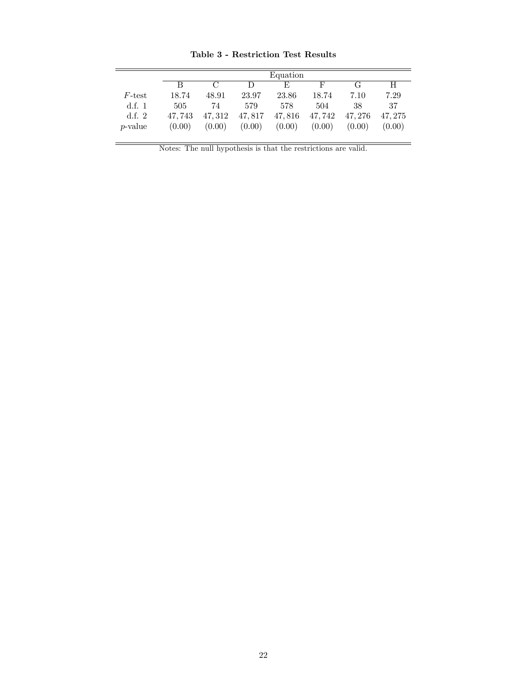|                 |        |               |        | Equation |        |        |         |
|-----------------|--------|---------------|--------|----------|--------|--------|---------|
|                 | B      | $\mathcal{C}$ | D      | E        | F      | G      | H       |
| F-test          | 18.74  | 48.91         | 23.97  | 23.86    | 18.74  | 7.10   | 7.29    |
| d.f. $1$        | 505    | 74            | 579    | 578      | 504    | 38     | 37      |
| d.f. $2$        | 47.743 | 47.312        | 47,817 | 47,816   | 47,742 | 47.276 | 47, 275 |
| <i>p</i> -value | (0.00) | (0.00)        | (0.00) | (0.00)   | (0.00) | (0.00) | (0.00)  |

Table 3 - Restriction Test Results

Notes: The null hypothesis is that the restrictions are valid.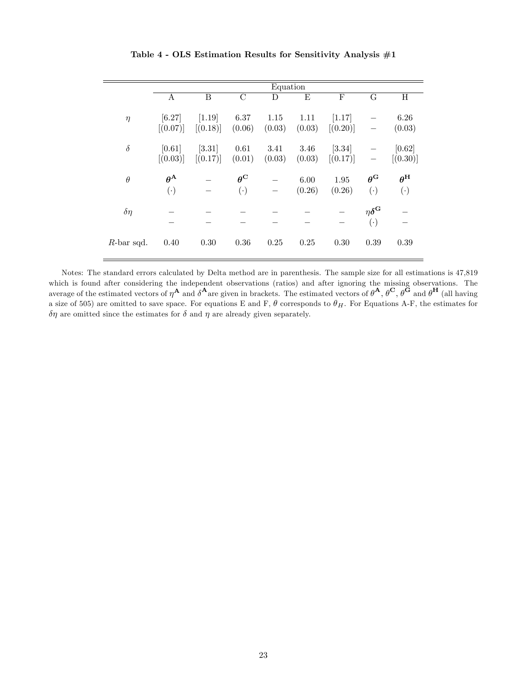|               |                       |          |                    | Equation |        |          |                            |                  |
|---------------|-----------------------|----------|--------------------|----------|--------|----------|----------------------------|------------------|
|               | А                     | B        | $\overline{\rm C}$ | D        | E      | F        | G                          | Η                |
|               |                       |          |                    |          |        |          |                            |                  |
| $\eta$        | [6.27]                | $[1.19]$ | 6.37               | 1.15     | 1.11   | [1.17]   |                            | 6.26             |
|               | [(0.07)]              | [(0.18)] | (0.06)             | (0.03)   | (0.03) | [(0.20)] |                            | (0.03)           |
|               |                       |          |                    |          |        |          |                            |                  |
| $\delta$      | [0.61]                | [3.31]   | 0.61               | 3.41     | 3.46   | $[3.34]$ |                            | [0.62]           |
|               | [(0.03)]              | [(0.17)] | (0.01)             | (0.03)   | (0.03) | [(0.17)] |                            | [(0.30)]         |
| $\theta$      | $\theta^{\mathbf{A}}$ |          | $\theta^{\rm C}$   |          | 6.00   | 1.95     | $\theta^{\rm G}$           | $\theta^{\rm H}$ |
|               |                       |          |                    |          |        |          |                            |                  |
|               | $(\cdot)$             |          | $(\cdot)$          |          | (0.26) | (0.26)   | $(\cdot)$                  | $(\cdot)$        |
| $\delta\eta$  |                       |          |                    |          |        |          | $\eta \delta^{\mathbf{G}}$ |                  |
|               |                       |          |                    |          |        |          |                            |                  |
|               |                       |          |                    |          |        |          | $(\cdot)$                  |                  |
| $R$ -bar sqd. | 0.40                  | 0.30     | 0.36               | 0.25     | 0.25   | 0.30     | 0.39                       | 0.39             |
|               |                       |          |                    |          |        |          |                            |                  |

Table 4 - OLS Estimation Results for Sensitivity Analysis #1

Notes: The standard errors calculated by Delta method are in parenthesis. The sample size for all estimations is 47,819 which is found after considering the independent observations (ratios) and after ignoring the missing observations. The average of the estimated vectors of  $\eta^{\mathbf{A}}$  and  $\delta^{\mathbf{A}}$  are given in brackets. The estimated vectors of  $\theta^{\mathbf{A}}, \theta^{\mathbf{C}}, \theta^{\mathbf{G}}$  and  $\theta^{\mathbf{H}}$  (all having a size of 505) are omitted to save space. For equations E and F,  $\theta$  corresponds to  $\theta_H$ . For Equations A-F, the estimates for  $\delta\eta$  are omitted since the estimates for  $\delta$  and  $\eta$  are already given separately.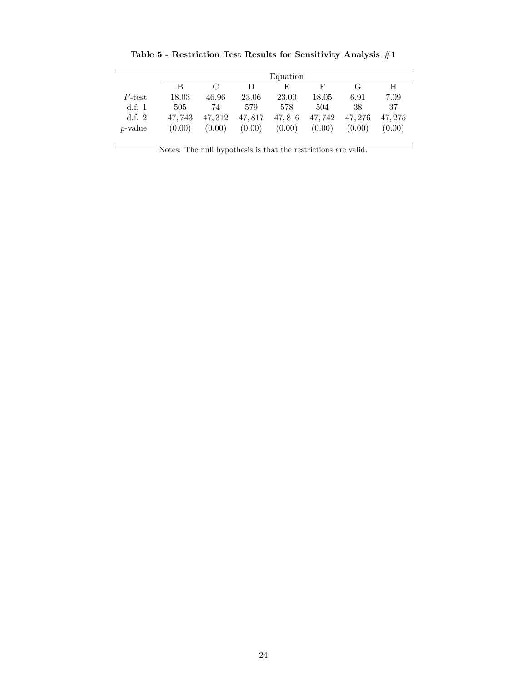|                 |        | Equation      |        |        |        |        |        |  |
|-----------------|--------|---------------|--------|--------|--------|--------|--------|--|
|                 | В      | $\mathcal{C}$ | D      | F,     | F      | G      | H      |  |
| F-test          | 18.03  | 46.96         | 23.06  | 23.00  | 18.05  | 6.91   | 7.09   |  |
| d.f. $1$        | 505    | 74            | 579    | 578    | 504    | 38     | 37     |  |
| d.f. $2$        | 47.743 | 47.312        | 47,817 | 47,816 | 47,742 | 47.276 | 47.275 |  |
| <i>p</i> -value | (0.00) | (0.00)        | (0.00) | (0.00) | (0.00) | (0.00) | (0.00) |  |

Table 5 - Restriction Test Results for Sensitivity Analysis  $\#1$ 

Notes: The null hypothesis is that the restrictions are valid.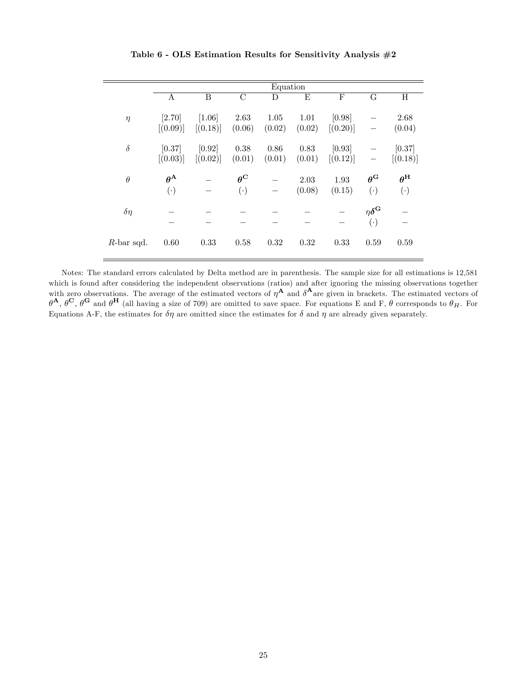|               |                        |          |                         | Equation |        |              |                            |                  |
|---------------|------------------------|----------|-------------------------|----------|--------|--------------|----------------------------|------------------|
|               | A                      | B        | $\overline{\mathrm{C}}$ | D        | E      | $\mathbf{F}$ | $\overline{G}$             | Η                |
|               |                        |          |                         |          |        |              |                            |                  |
| $\eta$        | [2.70]                 | $[1.06]$ | 2.63                    | 1.05     | 1.01   | [0.98]       |                            | 2.68             |
|               | [(0.09)]               | [(0.18)] | (0.06)                  | (0.02)   | (0.02) | [(0.20)]     |                            | (0.04)           |
| $\delta$      | [0.37]                 | [0.92]   | 0.38                    | $0.86\,$ | 0.83   | [0.93]       |                            | [0.37]           |
|               |                        |          |                         |          |        |              |                            |                  |
|               | [(0.03)]               | [(0.02)] | (0.01)                  | (0.01)   | (0.01) | [(0.12)]     |                            | [(0.18)]         |
| $\theta$      | $\theta^{\mathbf{A}}$  |          | $\theta^{\rm C}$        |          | 2.03   | 1.93         | $\theta^{\rm G}$           | $\theta^{\rm H}$ |
|               |                        |          |                         |          |        |              |                            |                  |
|               | $\left( \cdot \right)$ |          | $(\cdot)$               |          | (0.08) | (0.15)       | $(\cdot)$                  | $(\cdot)$        |
| $\delta\eta$  |                        |          |                         |          |        |              | $\eta \delta^{\mathbf{G}}$ |                  |
|               |                        |          |                         |          |        |              |                            |                  |
|               |                        |          |                         |          |        |              | $(\cdot)$                  |                  |
| $R$ -bar sqd. | 0.60                   | 0.33     | 0.58                    | 0.32     | 0.32   | 0.33         | 0.59                       | 0.59             |
|               |                        |          |                         |          |        |              |                            |                  |

Table 6 - OLS Estimation Results for Sensitivity Analysis #2

Notes: The standard errors calculated by Delta method are in parenthesis. The sample size for all estimations is 12,581 which is found after considering the independent observations (ratios) and after ignoring the missing observations together with zero observations. The average of the estimated vectors of  $\eta^{\mathbf{A}}$  and  $\delta^{\mathbf{A}}$  are given in brackets. The estimated vectors of  $\theta^{\mathbf{A}}, \theta^{\mathbf{C}}, \theta^{\mathbf{G}}$  and  $\theta^{\mathbf{H}}$  (all having a size of 709) are omitted to save space. For equations E and F,  $\theta$  corresponds to  $\theta_H$ . For Equations A-F, the estimates for  $\delta\eta$  are omitted since the estimates for  $\delta$  and  $\eta$  are already given separately.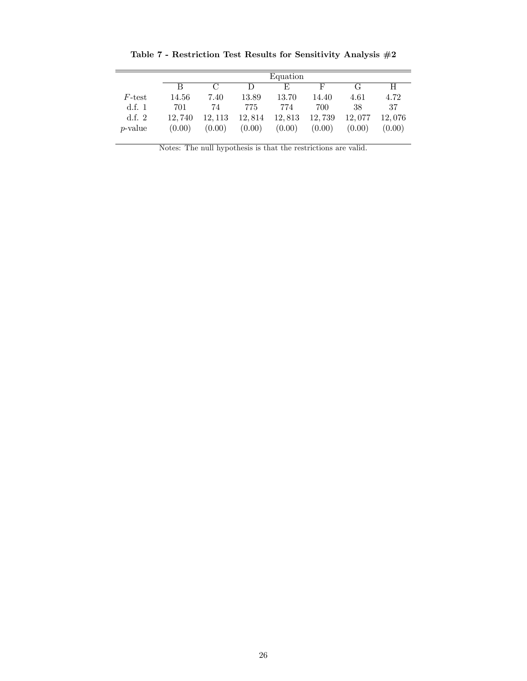|                 |        |        |        | Equation |        |        |        |
|-----------------|--------|--------|--------|----------|--------|--------|--------|
|                 | R      | $\cap$ | D      | F,       | F      | G      | H      |
| $F$ -test       | 14.56  | 7.40   | 13.89  | 13.70    | 14.40  | 4.61   | 4.72   |
| d.f. $1$        | 701    | 74     | 775    | 774      | 700    | 38     | 37     |
| d.f. $2$        | 12.740 | 12.113 | 12,814 | 12,813   | 12,739 | 12,077 | 12,076 |
| <i>p</i> -value | (0.00) | (0.00) | (0.00) | (0.00)   | (0.00) | (0.00) | (0.00) |

Table 7 - Restriction Test Results for Sensitivity Analysis #2

Notes: The null hypothesis is that the restrictions are valid.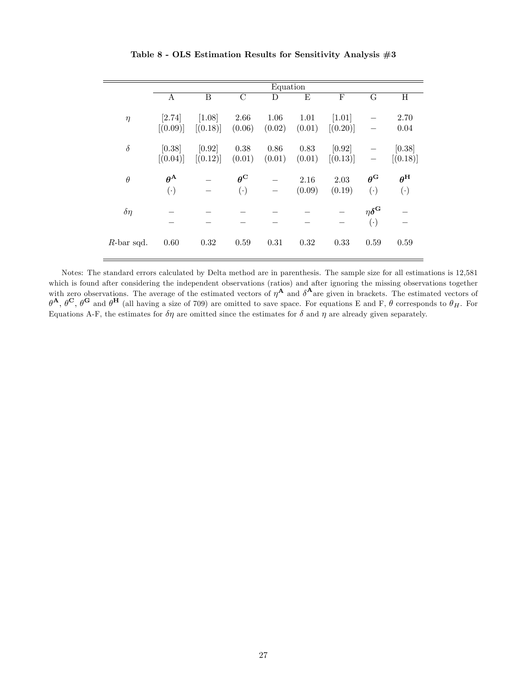|               |                       |          |                         | Equation |        |          |                           |                  |
|---------------|-----------------------|----------|-------------------------|----------|--------|----------|---------------------------|------------------|
|               | Α                     | B        | $\overline{\mathrm{C}}$ | D        | E      | F        | $\overline{G}$            | $H_{\rm}$        |
|               |                       |          |                         |          |        |          |                           |                  |
| $\eta$        | [2.74]                | $[1.08]$ | 2.66                    | 1.06     | 1.01   | $[1.01]$ |                           | 2.70             |
|               | [(0.09)]              | [(0.18)] | (0.06)                  | (0.02)   | (0.01) | [(0.20)] |                           | 0.04             |
|               |                       |          |                         |          |        |          |                           |                  |
| $\delta$      | [0.38]                | [0.92]   | 0.38                    | $0.86\,$ | 0.83   | [0.92]   |                           | [0.38]           |
|               | [(0.04)]              | [(0.12)] | (0.01)                  | (0.01)   | (0.01) | [(0.13)] |                           | [(0.18)]         |
|               |                       |          |                         |          |        |          |                           |                  |
| $\theta$      | $\theta^{\mathbf{A}}$ |          | $\theta^{\rm C}$        |          | 2.16   | 2.03     | $\theta^{\rm G}$          | $\theta^{\rm H}$ |
|               | $(\cdot)$             |          | $(\cdot)$               |          | (0.09) | (0.19)   | $(\cdot)$                 | $(\cdot)$        |
|               |                       |          |                         |          |        |          |                           |                  |
| $\delta\eta$  |                       |          |                         |          |        |          | $\eta\delta^{\mathbf{G}}$ |                  |
|               |                       |          |                         |          |        |          | $(\cdot)$                 |                  |
|               |                       |          |                         |          |        |          |                           |                  |
| $R$ -bar sqd. | 0.60                  | 0.32     | 0.59                    | 0.31     | 0.32   | 0.33     | 0.59                      | 0.59             |
|               |                       |          |                         |          |        |          |                           |                  |

Table 8 - OLS Estimation Results for Sensitivity Analysis #3

Notes: The standard errors calculated by Delta method are in parenthesis. The sample size for all estimations is 12,581 which is found after considering the independent observations (ratios) and after ignoring the missing observations together with zero observations. The average of the estimated vectors of  $\eta^{\mathbf{A}}$  and  $\delta^{\mathbf{A}}$  are given in brackets. The estimated vectors of  $\theta^{\mathbf{A}}, \theta^{\mathbf{C}}, \theta^{\mathbf{G}}$  and  $\theta^{\mathbf{H}}$  (all having a size of 709) are omitted to save space. For equations E and F,  $\theta$  corresponds to  $\theta_H$ . For Equations A-F, the estimates for  $\delta\eta$  are omitted since the estimates for  $\delta$  and  $\eta$  are already given separately.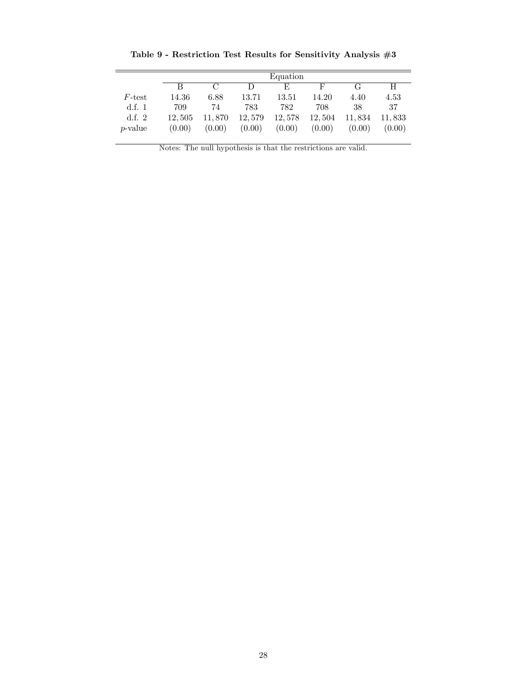|                 |        |        |        | Equation |        |        |        |
|-----------------|--------|--------|--------|----------|--------|--------|--------|
|                 | В      | $\cap$ | Ð      | F,       | F      | G      | H      |
| $F\text{-test}$ | 14.36  | 6.88   | 13.71  | 13.51    | 14.20  | 4.40   | 4.53   |
| d.f. $1$        | 709    | 74     | 783    | 782      | 708    | 38     | 37     |
| d.f. $2$        | 12.505 | 11.870 | 12,579 | 12,578   | 12,504 | 11,834 | 11,833 |
| <i>p</i> -value | (0.00) | (0.00) | (0.00) | (0.00)   | (0.00) | (0.00) | (0.00) |

Table 9 - Restriction Test Results for Sensitivity Analysis #3

Notes: The null hypothesis is that the restrictions are valid.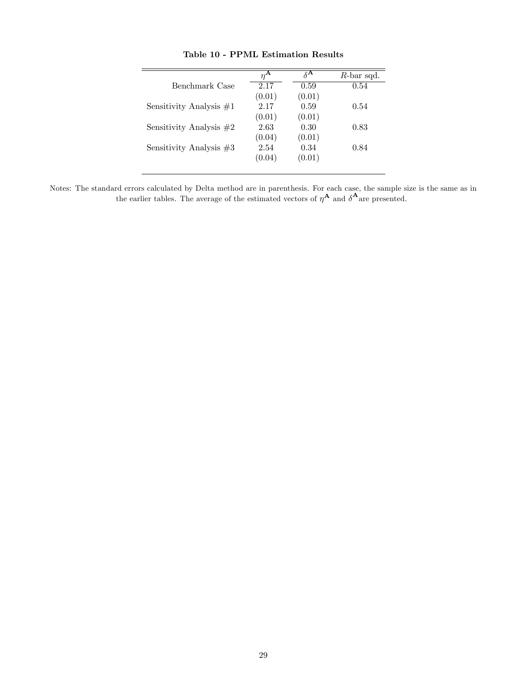|                           | $n^{\mathbf{A}}$ | $\delta^{\mathbf{A}}$ | $R$ -bar sqd. |
|---------------------------|------------------|-----------------------|---------------|
| Benchmark Case            | 2.17             | 0.59                  | 0.54          |
|                           | (0.01)           | (0.01)                |               |
| Sensitivity Analysis $#1$ | 2.17             | 0.59                  | 0.54          |
|                           | (0.01)           | (0.01)                |               |
| Sensitivity Analysis $#2$ | 2.63             | 0.30                  | 0.83          |
|                           | (0.04)           | (0.01)                |               |
| Sensitivity Analysis $#3$ | 2.54             | 0.34                  | 0.84          |
|                           | (0.04)           | (0.01)                |               |
|                           |                  |                       |               |

Table 10 - PPML Estimation Results

Notes: The standard errors calculated by Delta method are in parenthesis. For each case, the sample size is the same as in the earlier tables. The average of the estimated vectors of  $\eta^{\mathbf{A}}$  and  $\delta^{\mathbf{A}}$  are presented.